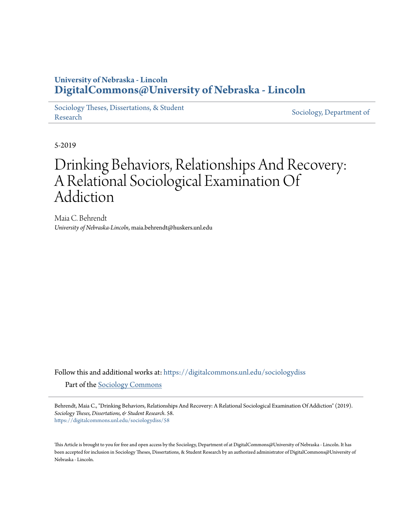## **University of Nebraska - Lincoln [DigitalCommons@University of Nebraska - Lincoln](https://digitalcommons.unl.edu?utm_source=digitalcommons.unl.edu%2Fsociologydiss%2F58&utm_medium=PDF&utm_campaign=PDFCoverPages)**

[Sociology Theses, Dissertations, & Student](https://digitalcommons.unl.edu/sociologydiss?utm_source=digitalcommons.unl.edu%2Fsociologydiss%2F58&utm_medium=PDF&utm_campaign=PDFCoverPages) [Research](https://digitalcommons.unl.edu/sociologydiss?utm_source=digitalcommons.unl.edu%2Fsociologydiss%2F58&utm_medium=PDF&utm_campaign=PDFCoverPages) Sociology, Dissertations, & Student [Sociology, Department of](https://digitalcommons.unl.edu/sociology?utm_source=digitalcommons.unl.edu%2Fsociologydiss%2F58&utm_medium=PDF&utm_campaign=PDFCoverPages)

5-2019

# Drinking Behaviors, Relationships And Recovery: A Relational Sociological Examination Of Addiction

Maia C. Behrendt *University of Nebraska-Lincoln*, maia.behrendt@huskers.unl.edu

Follow this and additional works at: [https://digitalcommons.unl.edu/sociologydiss](https://digitalcommons.unl.edu/sociologydiss?utm_source=digitalcommons.unl.edu%2Fsociologydiss%2F58&utm_medium=PDF&utm_campaign=PDFCoverPages) Part of the [Sociology Commons](http://network.bepress.com/hgg/discipline/416?utm_source=digitalcommons.unl.edu%2Fsociologydiss%2F58&utm_medium=PDF&utm_campaign=PDFCoverPages)

Behrendt, Maia C., "Drinking Behaviors, Relationships And Recovery: A Relational Sociological Examination Of Addiction" (2019). *Sociology Theses, Dissertations, & Student Research*. 58. [https://digitalcommons.unl.edu/sociologydiss/58](https://digitalcommons.unl.edu/sociologydiss/58?utm_source=digitalcommons.unl.edu%2Fsociologydiss%2F58&utm_medium=PDF&utm_campaign=PDFCoverPages)

This Article is brought to you for free and open access by the Sociology, Department of at DigitalCommons@University of Nebraska - Lincoln. It has been accepted for inclusion in Sociology Theses, Dissertations, & Student Research by an authorized administrator of DigitalCommons@University of Nebraska - Lincoln.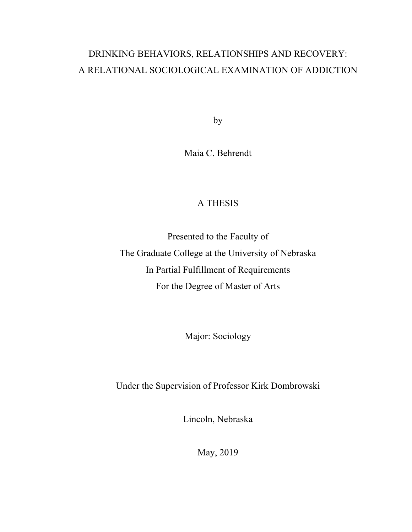## DRINKING BEHAVIORS, RELATIONSHIPS AND RECOVERY: A RELATIONAL SOCIOLOGICAL EXAMINATION OF ADDICTION

by

Maia C. Behrendt

## A THESIS

Presented to the Faculty of The Graduate College at the University of Nebraska In Partial Fulfillment of Requirements For the Degree of Master of Arts

Major: Sociology

Under the Supervision of Professor Kirk Dombrowski

Lincoln, Nebraska

May, 2019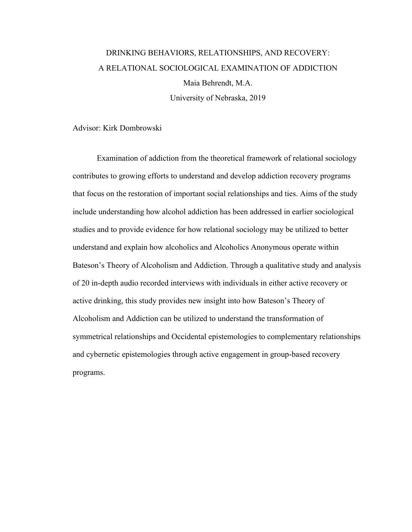## DRINKING BEHAVIORS, RELATIONSHIPS, AND RECOVERY: A RELATIONAL SOCIOLOGICAL EXAMINATION OF ADDICTION Maia Behrendt, M.A. University of Nebraska, 2019

#### Advisor: Kirk Dombrowski

Examination of addiction from the theoretical framework of relational sociology contributes to growing efforts to understand and develop addiction recovery programs that focus on the restoration of important social relationships and ties. Aims of the study include understanding how alcohol addiction has been addressed in earlier sociological studies and to provide evidence for how relational sociology may be utilized to better understand and explain how alcoholics and Alcoholics Anonymous operate within Bateson's Theory of Alcoholism and Addiction. Through a qualitative study and analysis of 20 in-depth audio recorded interviews with individuals in either active recovery or active drinking, this study provides new insight into how Bateson's Theory of Alcoholism and Addiction can be utilized to understand the transformation of symmetrical relationships and Occidental epistemologies to complementary relationships and cybernetic epistemologies through active engagement in group-based recovery programs.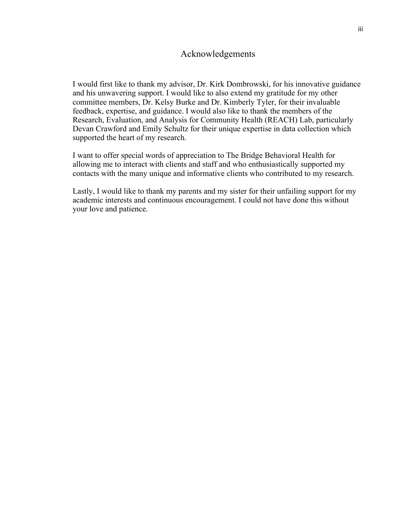#### Acknowledgements

I would first like to thank my advisor, Dr. Kirk Dombrowski, for his innovative guidance and his unwavering support. I would like to also extend my gratitude for my other committee members, Dr. Kelsy Burke and Dr. Kimberly Tyler, for their invaluable feedback, expertise, and guidance. I would also like to thank the members of the Research, Evaluation, and Analysis for Community Health (REACH) Lab, particularly Devan Crawford and Emily Schultz for their unique expertise in data collection which supported the heart of my research.

I want to offer special words of appreciation to The Bridge Behavioral Health for allowing me to interact with clients and staff and who enthusiastically supported my contacts with the many unique and informative clients who contributed to my research.

Lastly, I would like to thank my parents and my sister for their unfailing support for my academic interests and continuous encouragement. I could not have done this without your love and patience.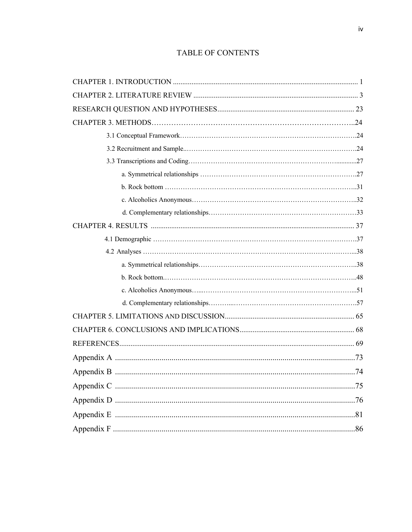### **TABLE OF CONTENTS**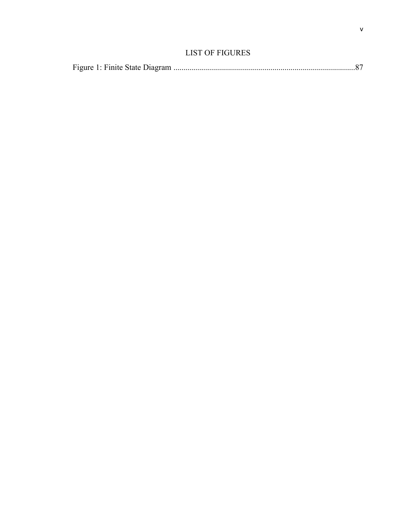### LIST OF FIGURES

|--|--|--|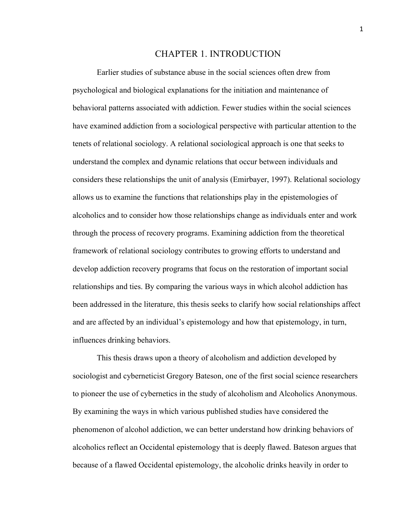#### CHAPTER 1. INTRODUCTION

Earlier studies of substance abuse in the social sciences often drew from psychological and biological explanations for the initiation and maintenance of behavioral patterns associated with addiction. Fewer studies within the social sciences have examined addiction from a sociological perspective with particular attention to the tenets of relational sociology. A relational sociological approach is one that seeks to understand the complex and dynamic relations that occur between individuals and considers these relationships the unit of analysis (Emirbayer, 1997). Relational sociology allows us to examine the functions that relationships play in the epistemologies of alcoholics and to consider how those relationships change as individuals enter and work through the process of recovery programs. Examining addiction from the theoretical framework of relational sociology contributes to growing efforts to understand and develop addiction recovery programs that focus on the restoration of important social relationships and ties. By comparing the various ways in which alcohol addiction has been addressed in the literature, this thesis seeks to clarify how social relationships affect and are affected by an individual's epistemology and how that epistemology, in turn, influences drinking behaviors.

This thesis draws upon a theory of alcoholism and addiction developed by sociologist and cyberneticist Gregory Bateson, one of the first social science researchers to pioneer the use of cybernetics in the study of alcoholism and Alcoholics Anonymous. By examining the ways in which various published studies have considered the phenomenon of alcohol addiction, we can better understand how drinking behaviors of alcoholics reflect an Occidental epistemology that is deeply flawed. Bateson argues that because of a flawed Occidental epistemology, the alcoholic drinks heavily in order to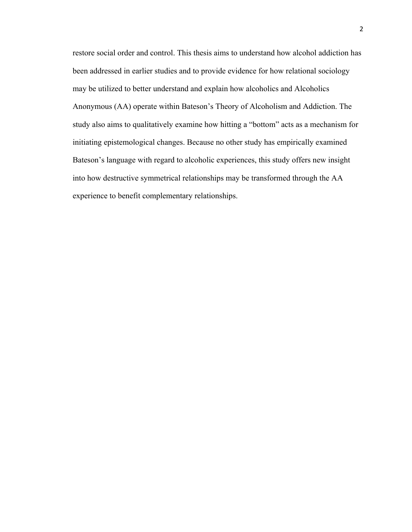restore social order and control. This thesis aims to understand how alcohol addiction has been addressed in earlier studies and to provide evidence for how relational sociology may be utilized to better understand and explain how alcoholics and Alcoholics Anonymous (AA) operate within Bateson's Theory of Alcoholism and Addiction. The study also aims to qualitatively examine how hitting a "bottom" acts as a mechanism for initiating epistemological changes. Because no other study has empirically examined Bateson's language with regard to alcoholic experiences, this study offers new insight into how destructive symmetrical relationships may be transformed through the AA experience to benefit complementary relationships.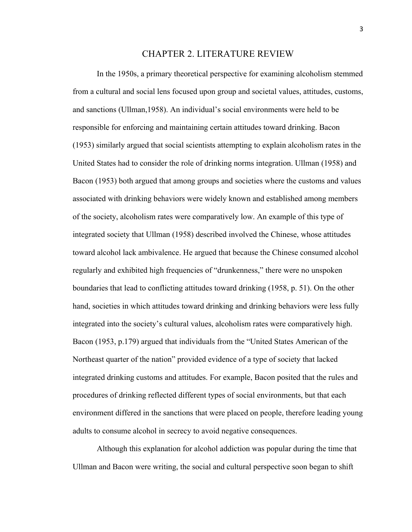#### CHAPTER 2. LITERATURE REVIEW

In the 1950s, a primary theoretical perspective for examining alcoholism stemmed from a cultural and social lens focused upon group and societal values, attitudes, customs, and sanctions (Ullman,1958). An individual's social environments were held to be responsible for enforcing and maintaining certain attitudes toward drinking. Bacon (1953) similarly argued that social scientists attempting to explain alcoholism rates in the United States had to consider the role of drinking norms integration. Ullman (1958) and Bacon (1953) both argued that among groups and societies where the customs and values associated with drinking behaviors were widely known and established among members of the society, alcoholism rates were comparatively low. An example of this type of integrated society that Ullman (1958) described involved the Chinese, whose attitudes toward alcohol lack ambivalence. He argued that because the Chinese consumed alcohol regularly and exhibited high frequencies of "drunkenness," there were no unspoken boundaries that lead to conflicting attitudes toward drinking (1958, p. 51). On the other hand, societies in which attitudes toward drinking and drinking behaviors were less fully integrated into the society's cultural values, alcoholism rates were comparatively high. Bacon (1953, p.179) argued that individuals from the "United States American of the Northeast quarter of the nation" provided evidence of a type of society that lacked integrated drinking customs and attitudes. For example, Bacon posited that the rules and procedures of drinking reflected different types of social environments, but that each environment differed in the sanctions that were placed on people, therefore leading young adults to consume alcohol in secrecy to avoid negative consequences.

Although this explanation for alcohol addiction was popular during the time that Ullman and Bacon were writing, the social and cultural perspective soon began to shift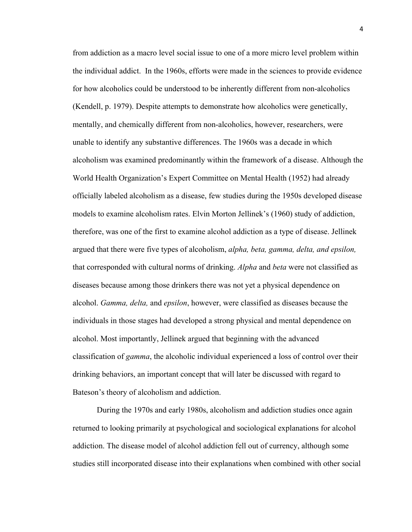from addiction as a macro level social issue to one of a more micro level problem within the individual addict. In the 1960s, efforts were made in the sciences to provide evidence for how alcoholics could be understood to be inherently different from non-alcoholics (Kendell, p. 1979). Despite attempts to demonstrate how alcoholics were genetically, mentally, and chemically different from non-alcoholics, however, researchers, were unable to identify any substantive differences. The 1960s was a decade in which alcoholism was examined predominantly within the framework of a disease. Although the World Health Organization's Expert Committee on Mental Health (1952) had already officially labeled alcoholism as a disease, few studies during the 1950s developed disease models to examine alcoholism rates. Elvin Morton Jellinek's (1960) study of addiction, therefore, was one of the first to examine alcohol addiction as a type of disease. Jellinek argued that there were five types of alcoholism, *alpha, beta, gamma, delta, and epsilon,* that corresponded with cultural norms of drinking. *Alpha* and *beta* were not classified as diseases because among those drinkers there was not yet a physical dependence on alcohol. *Gamma, delta,* and *epsilon*, however, were classified as diseases because the individuals in those stages had developed a strong physical and mental dependence on alcohol. Most importantly, Jellinek argued that beginning with the advanced classification of *gamma*, the alcoholic individual experienced a loss of control over their drinking behaviors, an important concept that will later be discussed with regard to Bateson's theory of alcoholism and addiction.

During the 1970s and early 1980s, alcoholism and addiction studies once again returned to looking primarily at psychological and sociological explanations for alcohol addiction. The disease model of alcohol addiction fell out of currency, although some studies still incorporated disease into their explanations when combined with other social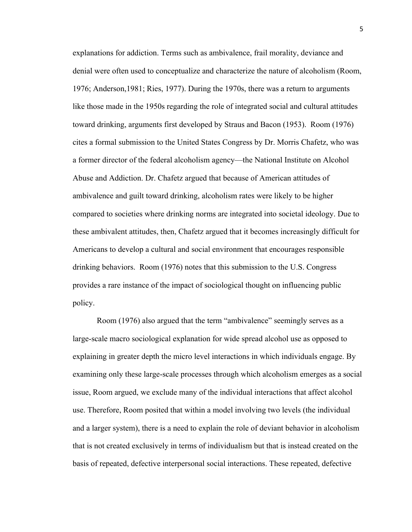explanations for addiction. Terms such as ambivalence, frail morality, deviance and denial were often used to conceptualize and characterize the nature of alcoholism (Room, 1976; Anderson,1981; Ries, 1977). During the 1970s, there was a return to arguments like those made in the 1950s regarding the role of integrated social and cultural attitudes toward drinking, arguments first developed by Straus and Bacon (1953). Room (1976) cites a formal submission to the United States Congress by Dr. Morris Chafetz, who was a former director of the federal alcoholism agency—the National Institute on Alcohol Abuse and Addiction. Dr. Chafetz argued that because of American attitudes of ambivalence and guilt toward drinking, alcoholism rates were likely to be higher compared to societies where drinking norms are integrated into societal ideology. Due to these ambivalent attitudes, then, Chafetz argued that it becomes increasingly difficult for Americans to develop a cultural and social environment that encourages responsible drinking behaviors. Room (1976) notes that this submission to the U.S. Congress provides a rare instance of the impact of sociological thought on influencing public policy.

Room (1976) also argued that the term "ambivalence" seemingly serves as a large-scale macro sociological explanation for wide spread alcohol use as opposed to explaining in greater depth the micro level interactions in which individuals engage. By examining only these large-scale processes through which alcoholism emerges as a social issue, Room argued, we exclude many of the individual interactions that affect alcohol use. Therefore, Room posited that within a model involving two levels (the individual and a larger system), there is a need to explain the role of deviant behavior in alcoholism that is not created exclusively in terms of individualism but that is instead created on the basis of repeated, defective interpersonal social interactions. These repeated, defective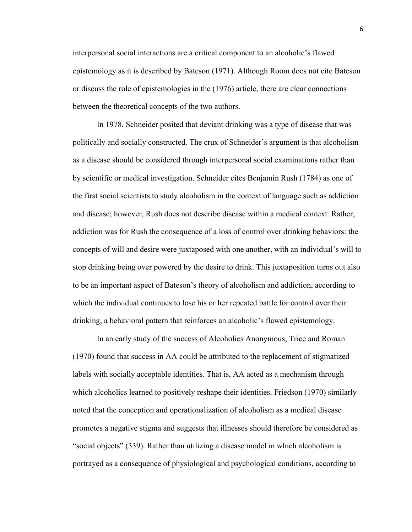interpersonal social interactions are a critical component to an alcoholic's flawed epistemology as it is described by Bateson (1971). Although Room does not cite Bateson or discuss the role of epistemologies in the (1976) article, there are clear connections between the theoretical concepts of the two authors.

In 1978, Schneider posited that deviant drinking was a type of disease that was politically and socially constructed. The crux of Schneider's argument is that alcoholism as a disease should be considered through interpersonal social examinations rather than by scientific or medical investigation. Schneider cites Benjamin Rush (1784) as one of the first social scientists to study alcoholism in the context of language such as addiction and disease; however, Rush does not describe disease within a medical context. Rather, addiction was for Rush the consequence of a loss of control over drinking behaviors: the concepts of will and desire were juxtaposed with one another, with an individual's will to stop drinking being over powered by the desire to drink. This juxtaposition turns out also to be an important aspect of Bateson's theory of alcoholism and addiction, according to which the individual continues to lose his or her repeated battle for control over their drinking, a behavioral pattern that reinforces an alcoholic's flawed epistemology.

In an early study of the success of Alcoholics Anonymous, Trice and Roman (1970) found that success in AA could be attributed to the replacement of stigmatized labels with socially acceptable identities. That is, AA acted as a mechanism through which alcoholics learned to positively reshape their identities. Friedson (1970) similarly noted that the conception and operationalization of alcoholism as a medical disease promotes a negative stigma and suggests that illnesses should therefore be considered as "social objects" (339). Rather than utilizing a disease model in which alcoholism is portrayed as a consequence of physiological and psychological conditions, according to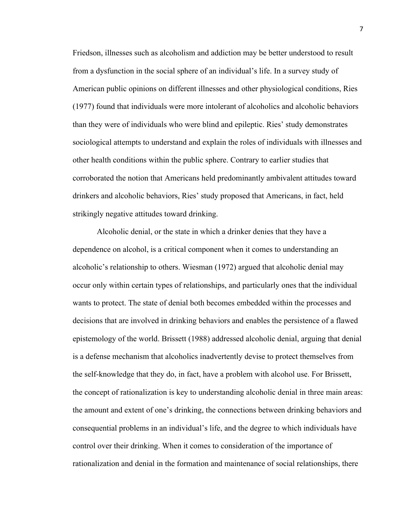Friedson, illnesses such as alcoholism and addiction may be better understood to result from a dysfunction in the social sphere of an individual's life. In a survey study of American public opinions on different illnesses and other physiological conditions, Ries (1977) found that individuals were more intolerant of alcoholics and alcoholic behaviors than they were of individuals who were blind and epileptic. Ries' study demonstrates sociological attempts to understand and explain the roles of individuals with illnesses and other health conditions within the public sphere. Contrary to earlier studies that corroborated the notion that Americans held predominantly ambivalent attitudes toward drinkers and alcoholic behaviors, Ries' study proposed that Americans, in fact, held strikingly negative attitudes toward drinking.

Alcoholic denial, or the state in which a drinker denies that they have a dependence on alcohol, is a critical component when it comes to understanding an alcoholic's relationship to others. Wiesman (1972) argued that alcoholic denial may occur only within certain types of relationships, and particularly ones that the individual wants to protect. The state of denial both becomes embedded within the processes and decisions that are involved in drinking behaviors and enables the persistence of a flawed epistemology of the world. Brissett (1988) addressed alcoholic denial, arguing that denial is a defense mechanism that alcoholics inadvertently devise to protect themselves from the self-knowledge that they do, in fact, have a problem with alcohol use. For Brissett, the concept of rationalization is key to understanding alcoholic denial in three main areas: the amount and extent of one's drinking, the connections between drinking behaviors and consequential problems in an individual's life, and the degree to which individuals have control over their drinking. When it comes to consideration of the importance of rationalization and denial in the formation and maintenance of social relationships, there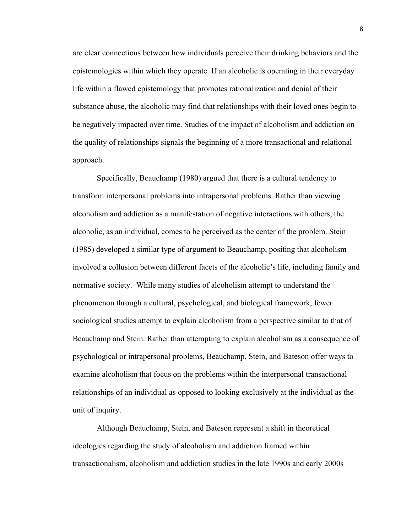are clear connections between how individuals perceive their drinking behaviors and the epistemologies within which they operate. If an alcoholic is operating in their everyday life within a flawed epistemology that promotes rationalization and denial of their substance abuse, the alcoholic may find that relationships with their loved ones begin to be negatively impacted over time. Studies of the impact of alcoholism and addiction on the quality of relationships signals the beginning of a more transactional and relational approach.

Specifically, Beauchamp (1980) argued that there is a cultural tendency to transform interpersonal problems into intrapersonal problems. Rather than viewing alcoholism and addiction as a manifestation of negative interactions with others, the alcoholic, as an individual, comes to be perceived as the center of the problem. Stein (1985) developed a similar type of argument to Beauchamp, positing that alcoholism involved a collusion between different facets of the alcoholic's life, including family and normative society. While many studies of alcoholism attempt to understand the phenomenon through a cultural, psychological, and biological framework, fewer sociological studies attempt to explain alcoholism from a perspective similar to that of Beauchamp and Stein. Rather than attempting to explain alcoholism as a consequence of psychological or intrapersonal problems, Beauchamp, Stein, and Bateson offer ways to examine alcoholism that focus on the problems within the interpersonal transactional relationships of an individual as opposed to looking exclusively at the individual as the unit of inquiry.

Although Beauchamp, Stein, and Bateson represent a shift in theoretical ideologies regarding the study of alcoholism and addiction framed within transactionalism, alcoholism and addiction studies in the late 1990s and early 2000s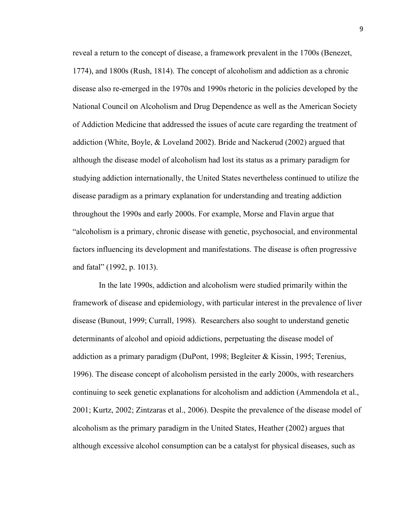reveal a return to the concept of disease, a framework prevalent in the 1700s (Benezet, 1774), and 1800s (Rush, 1814). The concept of alcoholism and addiction as a chronic disease also re-emerged in the 1970s and 1990s rhetoric in the policies developed by the National Council on Alcoholism and Drug Dependence as well as the American Society of Addiction Medicine that addressed the issues of acute care regarding the treatment of addiction (White, Boyle, & Loveland 2002). Bride and Nackerud (2002) argued that although the disease model of alcoholism had lost its status as a primary paradigm for studying addiction internationally, the United States nevertheless continued to utilize the disease paradigm as a primary explanation for understanding and treating addiction throughout the 1990s and early 2000s. For example, Morse and Flavin argue that "alcoholism is a primary, chronic disease with genetic, psychosocial, and environmental factors influencing its development and manifestations. The disease is often progressive and fatal" (1992, p. 1013).

In the late 1990s, addiction and alcoholism were studied primarily within the framework of disease and epidemiology, with particular interest in the prevalence of liver disease (Bunout, 1999; Currall, 1998). Researchers also sought to understand genetic determinants of alcohol and opioid addictions, perpetuating the disease model of addiction as a primary paradigm (DuPont, 1998; Begleiter & Kissin, 1995; Terenius, 1996). The disease concept of alcoholism persisted in the early 2000s, with researchers continuing to seek genetic explanations for alcoholism and addiction (Ammendola et al., 2001; Kurtz, 2002; Zintzaras et al., 2006). Despite the prevalence of the disease model of alcoholism as the primary paradigm in the United States, Heather (2002) argues that although excessive alcohol consumption can be a catalyst for physical diseases, such as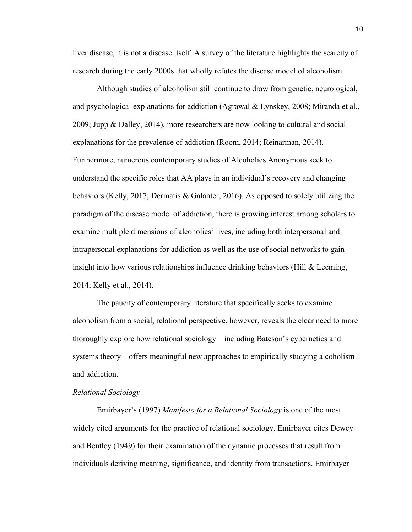liver disease, it is not a disease itself. A survey of the literature highlights the scarcity of research during the early 2000s that wholly refutes the disease model of alcoholism.

Although studies of alcoholism still continue to draw from genetic, neurological, and psychological explanations for addiction (Agrawal & Lynskey, 2008; Miranda et al., 2009; Jupp & Dalley, 2014), more researchers are now looking to cultural and social explanations for the prevalence of addiction (Room, 2014; Reinarman, 2014). Furthermore, numerous contemporary studies of Alcoholics Anonymous seek to understand the specific roles that AA plays in an individual's recovery and changing behaviors (Kelly, 2017; Dermatis & Galanter, 2016). As opposed to solely utilizing the paradigm of the disease model of addiction, there is growing interest among scholars to examine multiple dimensions of alcoholics' lives, including both interpersonal and intrapersonal explanations for addiction as well as the use of social networks to gain insight into how various relationships influence drinking behaviors (Hill & Leeming, 2014; Kelly et al., 2014).

The paucity of contemporary literature that specifically seeks to examine alcoholism from a social, relational perspective, however, reveals the clear need to more thoroughly explore how relational sociology—including Bateson's cybernetics and systems theory—offers meaningful new approaches to empirically studying alcoholism and addiction.

#### *Relational Sociology*

Emirbayer's (1997) *Manifesto for a Relational Sociology* is one of the most widely cited arguments for the practice of relational sociology. Emirbayer cites Dewey and Bentley (1949) for their examination of the dynamic processes that result from individuals deriving meaning, significance, and identity from transactions. Emirbayer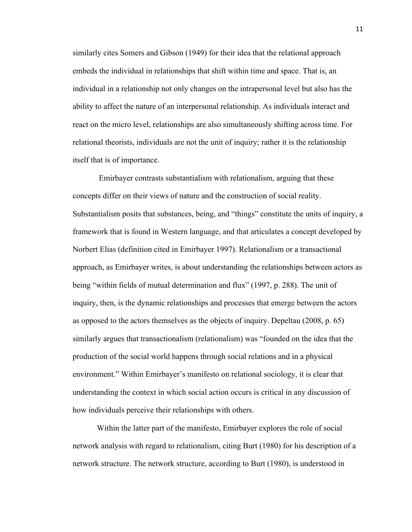similarly cites Somers and Gibson (1949) for their idea that the relational approach embeds the individual in relationships that shift within time and space. That is, an individual in a relationship not only changes on the intrapersonal level but also has the ability to affect the nature of an interpersonal relationship. As individuals interact and react on the micro level, relationships are also simultaneously shifting across time. For relational theorists, individuals are not the unit of inquiry; rather it is the relationship itself that is of importance.

Emirbayer contrasts substantialism with relationalism, arguing that these concepts differ on their views of nature and the construction of social reality. Substantialism posits that substances, being, and "things" constitute the units of inquiry, a framework that is found in Western language, and that articulates a concept developed by Norbert Elias (definition cited in Emirbayer 1997). Relationalism or a transactional approach, as Emirbayer writes, is about understanding the relationships between actors as being "within fields of mutual determination and flux" (1997, p. 288). The unit of inquiry, then, is the dynamic relationships and processes that emerge between the actors as opposed to the actors themselves as the objects of inquiry. Depeltau (2008, p. 65) similarly argues that transactionalism (relationalism) was "founded on the idea that the production of the social world happens through social relations and in a physical environment." Within Emirbayer's manifesto on relational sociology, it is clear that understanding the context in which social action occurs is critical in any discussion of how individuals perceive their relationships with others.

Within the latter part of the manifesto, Emirbayer explores the role of social network analysis with regard to relationalism, citing Burt (1980) for his description of a network structure. The network structure, according to Burt (1980), is understood in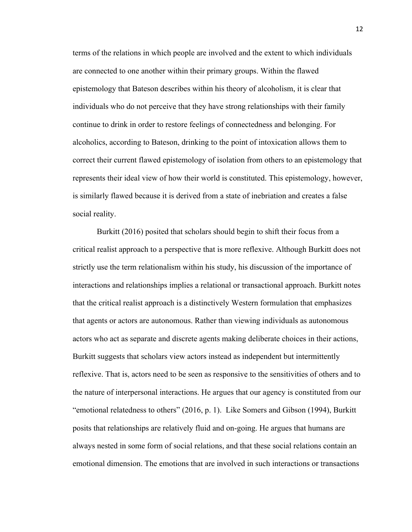terms of the relations in which people are involved and the extent to which individuals are connected to one another within their primary groups. Within the flawed epistemology that Bateson describes within his theory of alcoholism, it is clear that individuals who do not perceive that they have strong relationships with their family continue to drink in order to restore feelings of connectedness and belonging. For alcoholics, according to Bateson, drinking to the point of intoxication allows them to correct their current flawed epistemology of isolation from others to an epistemology that represents their ideal view of how their world is constituted. This epistemology, however, is similarly flawed because it is derived from a state of inebriation and creates a false social reality.

Burkitt (2016) posited that scholars should begin to shift their focus from a critical realist approach to a perspective that is more reflexive. Although Burkitt does not strictly use the term relationalism within his study, his discussion of the importance of interactions and relationships implies a relational or transactional approach. Burkitt notes that the critical realist approach is a distinctively Western formulation that emphasizes that agents or actors are autonomous. Rather than viewing individuals as autonomous actors who act as separate and discrete agents making deliberate choices in their actions, Burkitt suggests that scholars view actors instead as independent but intermittently reflexive. That is, actors need to be seen as responsive to the sensitivities of others and to the nature of interpersonal interactions. He argues that our agency is constituted from our "emotional relatedness to others" (2016, p. 1). Like Somers and Gibson (1994), Burkitt posits that relationships are relatively fluid and on-going. He argues that humans are always nested in some form of social relations, and that these social relations contain an emotional dimension. The emotions that are involved in such interactions or transactions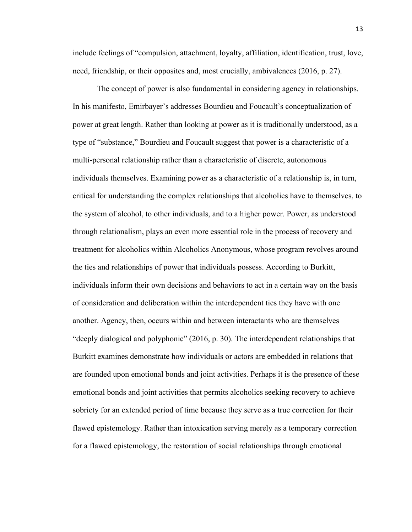include feelings of "compulsion, attachment, loyalty, affiliation, identification, trust, love, need, friendship, or their opposites and, most crucially, ambivalences (2016, p. 27).

The concept of power is also fundamental in considering agency in relationships. In his manifesto, Emirbayer's addresses Bourdieu and Foucault's conceptualization of power at great length. Rather than looking at power as it is traditionally understood, as a type of "substance," Bourdieu and Foucault suggest that power is a characteristic of a multi-personal relationship rather than a characteristic of discrete, autonomous individuals themselves. Examining power as a characteristic of a relationship is, in turn, critical for understanding the complex relationships that alcoholics have to themselves, to the system of alcohol, to other individuals, and to a higher power. Power, as understood through relationalism, plays an even more essential role in the process of recovery and treatment for alcoholics within Alcoholics Anonymous, whose program revolves around the ties and relationships of power that individuals possess. According to Burkitt, individuals inform their own decisions and behaviors to act in a certain way on the basis of consideration and deliberation within the interdependent ties they have with one another. Agency, then, occurs within and between interactants who are themselves "deeply dialogical and polyphonic" (2016, p. 30). The interdependent relationships that Burkitt examines demonstrate how individuals or actors are embedded in relations that are founded upon emotional bonds and joint activities. Perhaps it is the presence of these emotional bonds and joint activities that permits alcoholics seeking recovery to achieve sobriety for an extended period of time because they serve as a true correction for their flawed epistemology. Rather than intoxication serving merely as a temporary correction for a flawed epistemology, the restoration of social relationships through emotional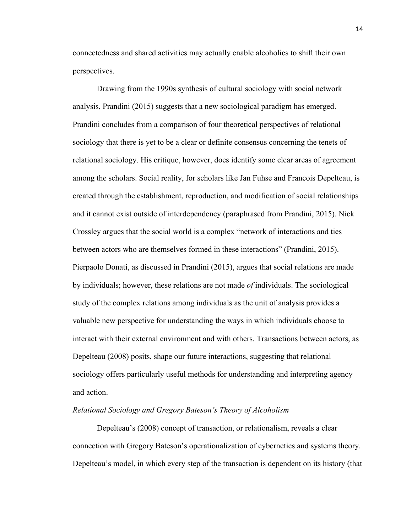connectedness and shared activities may actually enable alcoholics to shift their own perspectives.

Drawing from the 1990s synthesis of cultural sociology with social network analysis, Prandini (2015) suggests that a new sociological paradigm has emerged. Prandini concludes from a comparison of four theoretical perspectives of relational sociology that there is yet to be a clear or definite consensus concerning the tenets of relational sociology. His critique, however, does identify some clear areas of agreement among the scholars. Social reality, for scholars like Jan Fuhse and Francois Depelteau, is created through the establishment, reproduction, and modification of social relationships and it cannot exist outside of interdependency (paraphrased from Prandini, 2015). Nick Crossley argues that the social world is a complex "network of interactions and ties between actors who are themselves formed in these interactions" (Prandini, 2015). Pierpaolo Donati, as discussed in Prandini (2015), argues that social relations are made by individuals; however, these relations are not made *of* individuals. The sociological study of the complex relations among individuals as the unit of analysis provides a valuable new perspective for understanding the ways in which individuals choose to interact with their external environment and with others. Transactions between actors, as Depelteau (2008) posits, shape our future interactions, suggesting that relational sociology offers particularly useful methods for understanding and interpreting agency and action.

#### *Relational Sociology and Gregory Bateson's Theory of Alcoholism*

Depelteau's (2008) concept of transaction, or relationalism, reveals a clear connection with Gregory Bateson's operationalization of cybernetics and systems theory. Depelteau's model, in which every step of the transaction is dependent on its history (that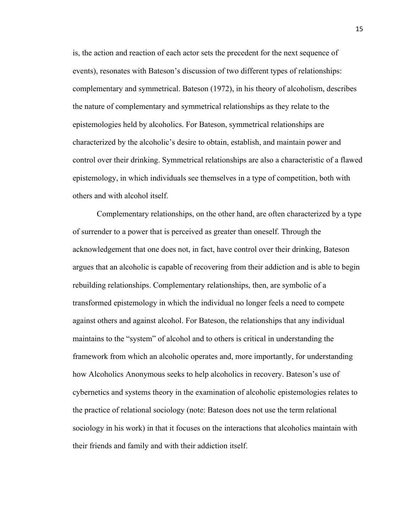is, the action and reaction of each actor sets the precedent for the next sequence of events), resonates with Bateson's discussion of two different types of relationships: complementary and symmetrical. Bateson (1972), in his theory of alcoholism, describes the nature of complementary and symmetrical relationships as they relate to the epistemologies held by alcoholics. For Bateson, symmetrical relationships are characterized by the alcoholic's desire to obtain, establish, and maintain power and control over their drinking. Symmetrical relationships are also a characteristic of a flawed epistemology, in which individuals see themselves in a type of competition, both with others and with alcohol itself.

Complementary relationships, on the other hand, are often characterized by a type of surrender to a power that is perceived as greater than oneself. Through the acknowledgement that one does not, in fact, have control over their drinking, Bateson argues that an alcoholic is capable of recovering from their addiction and is able to begin rebuilding relationships. Complementary relationships, then, are symbolic of a transformed epistemology in which the individual no longer feels a need to compete against others and against alcohol. For Bateson, the relationships that any individual maintains to the "system" of alcohol and to others is critical in understanding the framework from which an alcoholic operates and, more importantly, for understanding how Alcoholics Anonymous seeks to help alcoholics in recovery. Bateson's use of cybernetics and systems theory in the examination of alcoholic epistemologies relates to the practice of relational sociology (note: Bateson does not use the term relational sociology in his work) in that it focuses on the interactions that alcoholics maintain with their friends and family and with their addiction itself.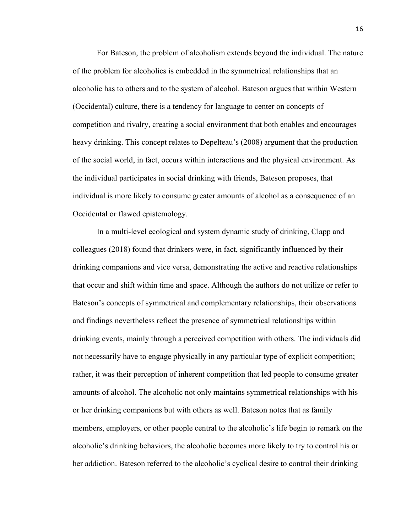For Bateson, the problem of alcoholism extends beyond the individual. The nature of the problem for alcoholics is embedded in the symmetrical relationships that an alcoholic has to others and to the system of alcohol. Bateson argues that within Western (Occidental) culture, there is a tendency for language to center on concepts of competition and rivalry, creating a social environment that both enables and encourages heavy drinking. This concept relates to Depelteau's (2008) argument that the production of the social world, in fact, occurs within interactions and the physical environment. As the individual participates in social drinking with friends, Bateson proposes, that individual is more likely to consume greater amounts of alcohol as a consequence of an Occidental or flawed epistemology.

In a multi-level ecological and system dynamic study of drinking, Clapp and colleagues (2018) found that drinkers were, in fact, significantly influenced by their drinking companions and vice versa, demonstrating the active and reactive relationships that occur and shift within time and space. Although the authors do not utilize or refer to Bateson's concepts of symmetrical and complementary relationships, their observations and findings nevertheless reflect the presence of symmetrical relationships within drinking events, mainly through a perceived competition with others. The individuals did not necessarily have to engage physically in any particular type of explicit competition; rather, it was their perception of inherent competition that led people to consume greater amounts of alcohol. The alcoholic not only maintains symmetrical relationships with his or her drinking companions but with others as well. Bateson notes that as family members, employers, or other people central to the alcoholic's life begin to remark on the alcoholic's drinking behaviors, the alcoholic becomes more likely to try to control his or her addiction. Bateson referred to the alcoholic's cyclical desire to control their drinking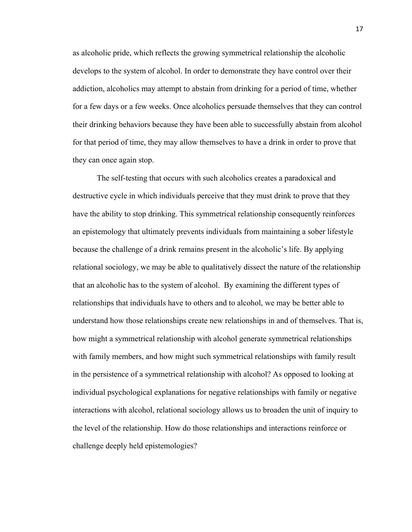as alcoholic pride, which reflects the growing symmetrical relationship the alcoholic develops to the system of alcohol. In order to demonstrate they have control over their addiction, alcoholics may attempt to abstain from drinking for a period of time, whether for a few days or a few weeks. Once alcoholics persuade themselves that they can control their drinking behaviors because they have been able to successfully abstain from alcohol for that period of time, they may allow themselves to have a drink in order to prove that they can once again stop.

The self-testing that occurs with such alcoholics creates a paradoxical and destructive cycle in which individuals perceive that they must drink to prove that they have the ability to stop drinking. This symmetrical relationship consequently reinforces an epistemology that ultimately prevents individuals from maintaining a sober lifestyle because the challenge of a drink remains present in the alcoholic's life. By applying relational sociology, we may be able to qualitatively dissect the nature of the relationship that an alcoholic has to the system of alcohol. By examining the different types of relationships that individuals have to others and to alcohol, we may be better able to understand how those relationships create new relationships in and of themselves. That is, how might a symmetrical relationship with alcohol generate symmetrical relationships with family members, and how might such symmetrical relationships with family result in the persistence of a symmetrical relationship with alcohol? As opposed to looking at individual psychological explanations for negative relationships with family or negative interactions with alcohol, relational sociology allows us to broaden the unit of inquiry to the level of the relationship. How do those relationships and interactions reinforce or challenge deeply held epistemologies?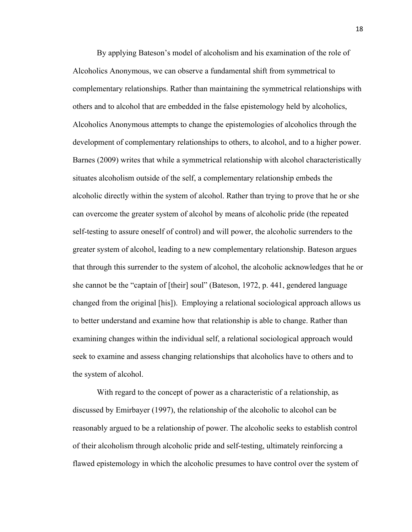By applying Bateson's model of alcoholism and his examination of the role of Alcoholics Anonymous, we can observe a fundamental shift from symmetrical to complementary relationships. Rather than maintaining the symmetrical relationships with others and to alcohol that are embedded in the false epistemology held by alcoholics, Alcoholics Anonymous attempts to change the epistemologies of alcoholics through the development of complementary relationships to others, to alcohol, and to a higher power. Barnes (2009) writes that while a symmetrical relationship with alcohol characteristically situates alcoholism outside of the self, a complementary relationship embeds the alcoholic directly within the system of alcohol. Rather than trying to prove that he or she can overcome the greater system of alcohol by means of alcoholic pride (the repeated self-testing to assure oneself of control) and will power, the alcoholic surrenders to the greater system of alcohol, leading to a new complementary relationship. Bateson argues that through this surrender to the system of alcohol, the alcoholic acknowledges that he or she cannot be the "captain of [their] soul" (Bateson, 1972, p. 441, gendered language changed from the original [his]). Employing a relational sociological approach allows us to better understand and examine how that relationship is able to change. Rather than examining changes within the individual self, a relational sociological approach would seek to examine and assess changing relationships that alcoholics have to others and to the system of alcohol.

With regard to the concept of power as a characteristic of a relationship, as discussed by Emirbayer (1997), the relationship of the alcoholic to alcohol can be reasonably argued to be a relationship of power. The alcoholic seeks to establish control of their alcoholism through alcoholic pride and self-testing, ultimately reinforcing a flawed epistemology in which the alcoholic presumes to have control over the system of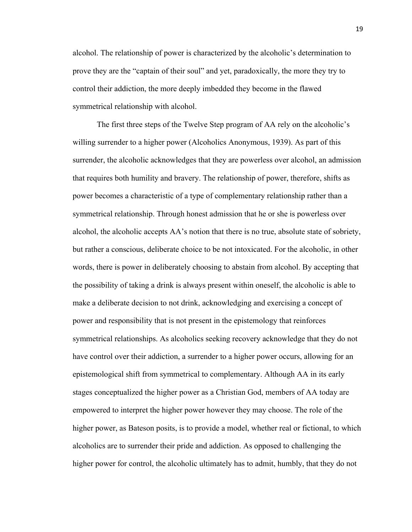alcohol. The relationship of power is characterized by the alcoholic's determination to prove they are the "captain of their soul" and yet, paradoxically, the more they try to control their addiction, the more deeply imbedded they become in the flawed symmetrical relationship with alcohol.

The first three steps of the Twelve Step program of AA rely on the alcoholic's willing surrender to a higher power (Alcoholics Anonymous, 1939). As part of this surrender, the alcoholic acknowledges that they are powerless over alcohol, an admission that requires both humility and bravery. The relationship of power, therefore, shifts as power becomes a characteristic of a type of complementary relationship rather than a symmetrical relationship. Through honest admission that he or she is powerless over alcohol, the alcoholic accepts AA's notion that there is no true, absolute state of sobriety, but rather a conscious, deliberate choice to be not intoxicated. For the alcoholic, in other words, there is power in deliberately choosing to abstain from alcohol. By accepting that the possibility of taking a drink is always present within oneself, the alcoholic is able to make a deliberate decision to not drink, acknowledging and exercising a concept of power and responsibility that is not present in the epistemology that reinforces symmetrical relationships. As alcoholics seeking recovery acknowledge that they do not have control over their addiction, a surrender to a higher power occurs, allowing for an epistemological shift from symmetrical to complementary. Although AA in its early stages conceptualized the higher power as a Christian God, members of AA today are empowered to interpret the higher power however they may choose. The role of the higher power, as Bateson posits, is to provide a model, whether real or fictional, to which alcoholics are to surrender their pride and addiction. As opposed to challenging the higher power for control, the alcoholic ultimately has to admit, humbly, that they do not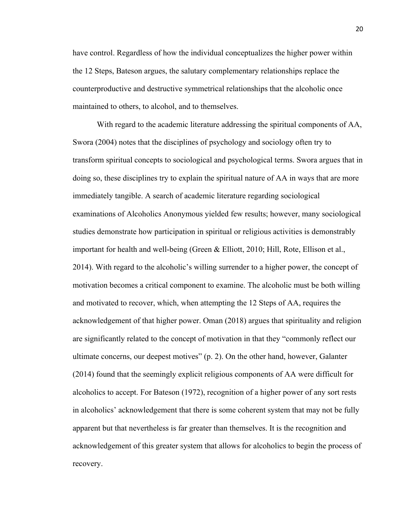have control. Regardless of how the individual conceptualizes the higher power within the 12 Steps, Bateson argues, the salutary complementary relationships replace the counterproductive and destructive symmetrical relationships that the alcoholic once maintained to others, to alcohol, and to themselves.

With regard to the academic literature addressing the spiritual components of AA, Swora (2004) notes that the disciplines of psychology and sociology often try to transform spiritual concepts to sociological and psychological terms. Swora argues that in doing so, these disciplines try to explain the spiritual nature of AA in ways that are more immediately tangible. A search of academic literature regarding sociological examinations of Alcoholics Anonymous yielded few results; however, many sociological studies demonstrate how participation in spiritual or religious activities is demonstrably important for health and well-being (Green & Elliott, 2010; Hill, Rote, Ellison et al., 2014). With regard to the alcoholic's willing surrender to a higher power, the concept of motivation becomes a critical component to examine. The alcoholic must be both willing and motivated to recover, which, when attempting the 12 Steps of AA, requires the acknowledgement of that higher power. Oman (2018) argues that spirituality and religion are significantly related to the concept of motivation in that they "commonly reflect our ultimate concerns, our deepest motives" (p. 2). On the other hand, however, Galanter (2014) found that the seemingly explicit religious components of AA were difficult for alcoholics to accept. For Bateson (1972), recognition of a higher power of any sort rests in alcoholics' acknowledgement that there is some coherent system that may not be fully apparent but that nevertheless is far greater than themselves. It is the recognition and acknowledgement of this greater system that allows for alcoholics to begin the process of recovery.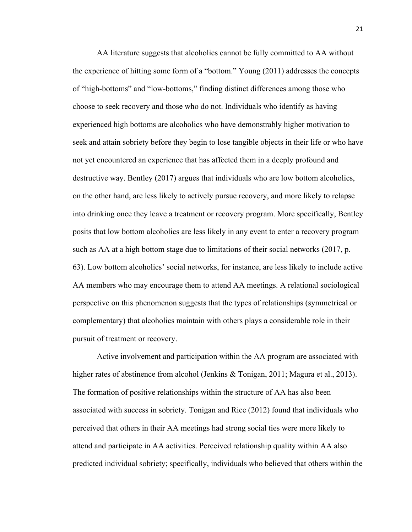AA literature suggests that alcoholics cannot be fully committed to AA without the experience of hitting some form of a "bottom." Young (2011) addresses the concepts of "high-bottoms" and "low-bottoms," finding distinct differences among those who choose to seek recovery and those who do not. Individuals who identify as having experienced high bottoms are alcoholics who have demonstrably higher motivation to seek and attain sobriety before they begin to lose tangible objects in their life or who have not yet encountered an experience that has affected them in a deeply profound and destructive way. Bentley (2017) argues that individuals who are low bottom alcoholics, on the other hand, are less likely to actively pursue recovery, and more likely to relapse into drinking once they leave a treatment or recovery program. More specifically, Bentley posits that low bottom alcoholics are less likely in any event to enter a recovery program such as AA at a high bottom stage due to limitations of their social networks (2017, p. 63). Low bottom alcoholics' social networks, for instance, are less likely to include active AA members who may encourage them to attend AA meetings. A relational sociological perspective on this phenomenon suggests that the types of relationships (symmetrical or complementary) that alcoholics maintain with others plays a considerable role in their pursuit of treatment or recovery.

Active involvement and participation within the AA program are associated with higher rates of abstinence from alcohol (Jenkins & Tonigan, 2011; Magura et al., 2013). The formation of positive relationships within the structure of AA has also been associated with success in sobriety. Tonigan and Rice (2012) found that individuals who perceived that others in their AA meetings had strong social ties were more likely to attend and participate in AA activities. Perceived relationship quality within AA also predicted individual sobriety; specifically, individuals who believed that others within the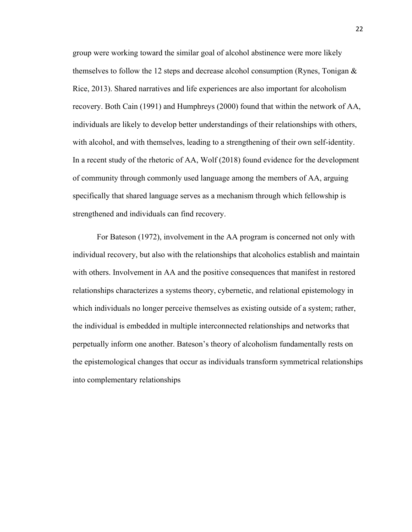group were working toward the similar goal of alcohol abstinence were more likely themselves to follow the 12 steps and decrease alcohol consumption (Rynes, Tonigan  $\&$ Rice, 2013). Shared narratives and life experiences are also important for alcoholism recovery. Both Cain (1991) and Humphreys (2000) found that within the network of AA, individuals are likely to develop better understandings of their relationships with others, with alcohol, and with themselves, leading to a strengthening of their own self-identity. In a recent study of the rhetoric of AA, Wolf (2018) found evidence for the development of community through commonly used language among the members of AA, arguing specifically that shared language serves as a mechanism through which fellowship is strengthened and individuals can find recovery.

For Bateson (1972), involvement in the AA program is concerned not only with individual recovery, but also with the relationships that alcoholics establish and maintain with others. Involvement in AA and the positive consequences that manifest in restored relationships characterizes a systems theory, cybernetic, and relational epistemology in which individuals no longer perceive themselves as existing outside of a system; rather, the individual is embedded in multiple interconnected relationships and networks that perpetually inform one another. Bateson's theory of alcoholism fundamentally rests on the epistemological changes that occur as individuals transform symmetrical relationships into complementary relationships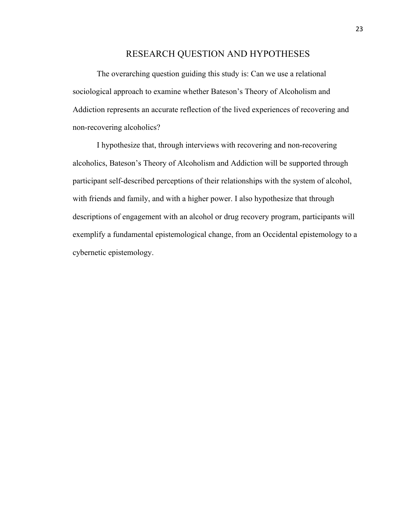#### RESEARCH QUESTION AND HYPOTHESES

The overarching question guiding this study is: Can we use a relational sociological approach to examine whether Bateson's Theory of Alcoholism and Addiction represents an accurate reflection of the lived experiences of recovering and non-recovering alcoholics?

I hypothesize that, through interviews with recovering and non-recovering alcoholics, Bateson's Theory of Alcoholism and Addiction will be supported through participant self-described perceptions of their relationships with the system of alcohol, with friends and family, and with a higher power. I also hypothesize that through descriptions of engagement with an alcohol or drug recovery program, participants will exemplify a fundamental epistemological change, from an Occidental epistemology to a cybernetic epistemology.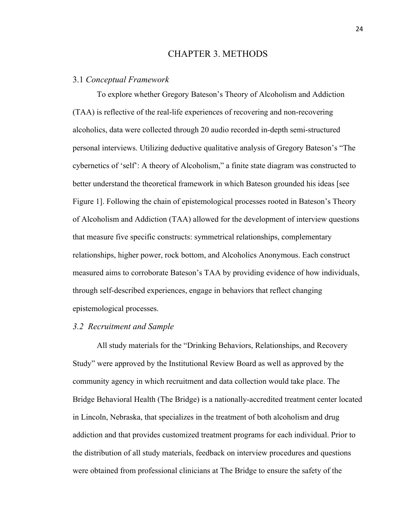#### CHAPTER 3. METHODS

#### 3.1 *Conceptual Framework*

To explore whether Gregory Bateson's Theory of Alcoholism and Addiction (TAA) is reflective of the real-life experiences of recovering and non-recovering alcoholics, data were collected through 20 audio recorded in-depth semi-structured personal interviews. Utilizing deductive qualitative analysis of Gregory Bateson's "The cybernetics of 'self': A theory of Alcoholism," a finite state diagram was constructed to better understand the theoretical framework in which Bateson grounded his ideas [see Figure 1]. Following the chain of epistemological processes rooted in Bateson's Theory of Alcoholism and Addiction (TAA) allowed for the development of interview questions that measure five specific constructs: symmetrical relationships, complementary relationships, higher power, rock bottom, and Alcoholics Anonymous. Each construct measured aims to corroborate Bateson's TAA by providing evidence of how individuals, through self-described experiences, engage in behaviors that reflect changing epistemological processes.

#### *3.2 Recruitment and Sample*

All study materials for the "Drinking Behaviors, Relationships, and Recovery Study" were approved by the Institutional Review Board as well as approved by the community agency in which recruitment and data collection would take place. The Bridge Behavioral Health (The Bridge) is a nationally-accredited treatment center located in Lincoln, Nebraska, that specializes in the treatment of both alcoholism and drug addiction and that provides customized treatment programs for each individual. Prior to the distribution of all study materials, feedback on interview procedures and questions were obtained from professional clinicians at The Bridge to ensure the safety of the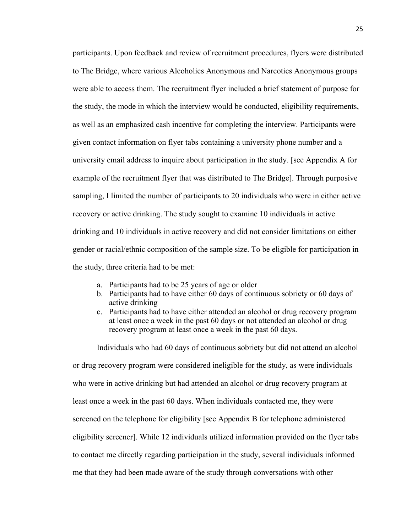participants. Upon feedback and review of recruitment procedures, flyers were distributed to The Bridge, where various Alcoholics Anonymous and Narcotics Anonymous groups were able to access them. The recruitment flyer included a brief statement of purpose for the study, the mode in which the interview would be conducted, eligibility requirements, as well as an emphasized cash incentive for completing the interview. Participants were given contact information on flyer tabs containing a university phone number and a university email address to inquire about participation in the study. [see Appendix A for example of the recruitment flyer that was distributed to The Bridge]. Through purposive sampling, I limited the number of participants to 20 individuals who were in either active recovery or active drinking. The study sought to examine 10 individuals in active drinking and 10 individuals in active recovery and did not consider limitations on either gender or racial/ethnic composition of the sample size. To be eligible for participation in the study, three criteria had to be met:

- a. Participants had to be 25 years of age or older
- b. Participants had to have either 60 days of continuous sobriety or 60 days of active drinking
- c. Participants had to have either attended an alcohol or drug recovery program at least once a week in the past 60 days or not attended an alcohol or drug recovery program at least once a week in the past 60 days.

Individuals who had 60 days of continuous sobriety but did not attend an alcohol or drug recovery program were considered ineligible for the study, as were individuals who were in active drinking but had attended an alcohol or drug recovery program at least once a week in the past 60 days. When individuals contacted me, they were screened on the telephone for eligibility [see Appendix B for telephone administered eligibility screener]. While 12 individuals utilized information provided on the flyer tabs to contact me directly regarding participation in the study, several individuals informed me that they had been made aware of the study through conversations with other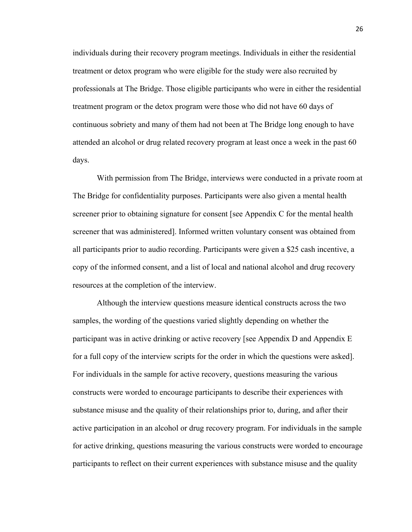individuals during their recovery program meetings. Individuals in either the residential treatment or detox program who were eligible for the study were also recruited by professionals at The Bridge. Those eligible participants who were in either the residential treatment program or the detox program were those who did not have 60 days of continuous sobriety and many of them had not been at The Bridge long enough to have attended an alcohol or drug related recovery program at least once a week in the past 60 days.

With permission from The Bridge, interviews were conducted in a private room at The Bridge for confidentiality purposes. Participants were also given a mental health screener prior to obtaining signature for consent [see Appendix C for the mental health screener that was administered]. Informed written voluntary consent was obtained from all participants prior to audio recording. Participants were given a \$25 cash incentive, a copy of the informed consent, and a list of local and national alcohol and drug recovery resources at the completion of the interview.

Although the interview questions measure identical constructs across the two samples, the wording of the questions varied slightly depending on whether the participant was in active drinking or active recovery [see Appendix D and Appendix E for a full copy of the interview scripts for the order in which the questions were asked]. For individuals in the sample for active recovery, questions measuring the various constructs were worded to encourage participants to describe their experiences with substance misuse and the quality of their relationships prior to, during, and after their active participation in an alcohol or drug recovery program. For individuals in the sample for active drinking, questions measuring the various constructs were worded to encourage participants to reflect on their current experiences with substance misuse and the quality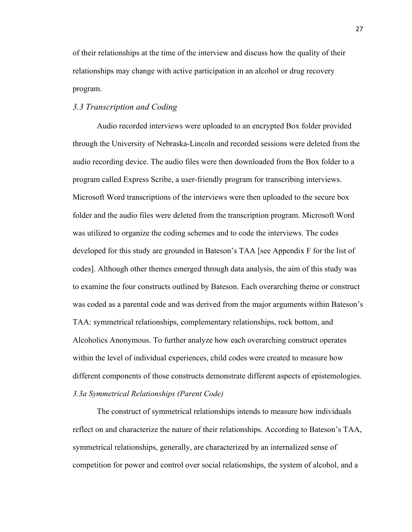of their relationships at the time of the interview and discuss how the quality of their relationships may change with active participation in an alcohol or drug recovery program.

#### *3.3 Transcription and Coding*

Audio recorded interviews were uploaded to an encrypted Box folder provided through the University of Nebraska-Lincoln and recorded sessions were deleted from the audio recording device. The audio files were then downloaded from the Box folder to a program called Express Scribe, a user-friendly program for transcribing interviews. Microsoft Word transcriptions of the interviews were then uploaded to the secure box folder and the audio files were deleted from the transcription program. Microsoft Word was utilized to organize the coding schemes and to code the interviews. The codes developed for this study are grounded in Bateson's TAA [see Appendix F for the list of codes]. Although other themes emerged through data analysis, the aim of this study was to examine the four constructs outlined by Bateson. Each overarching theme or construct was coded as a parental code and was derived from the major arguments within Bateson's TAA: symmetrical relationships, complementary relationships, rock bottom, and Alcoholics Anonymous. To further analyze how each overarching construct operates within the level of individual experiences, child codes were created to measure how different components of those constructs demonstrate different aspects of epistemologies. *3.3a Symmetrical Relationships (Parent Code)*

The construct of symmetrical relationships intends to measure how individuals reflect on and characterize the nature of their relationships. According to Bateson's TAA, symmetrical relationships, generally, are characterized by an internalized sense of competition for power and control over social relationships, the system of alcohol, and a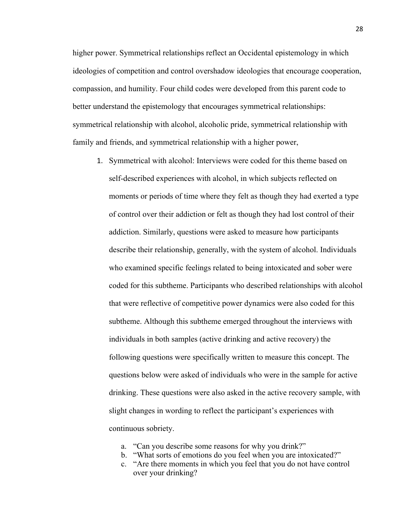higher power. Symmetrical relationships reflect an Occidental epistemology in which ideologies of competition and control overshadow ideologies that encourage cooperation, compassion, and humility. Four child codes were developed from this parent code to better understand the epistemology that encourages symmetrical relationships: symmetrical relationship with alcohol, alcoholic pride, symmetrical relationship with family and friends, and symmetrical relationship with a higher power,

- 1. Symmetrical with alcohol: Interviews were coded for this theme based on self-described experiences with alcohol, in which subjects reflected on moments or periods of time where they felt as though they had exerted a type of control over their addiction or felt as though they had lost control of their addiction. Similarly, questions were asked to measure how participants describe their relationship, generally, with the system of alcohol. Individuals who examined specific feelings related to being intoxicated and sober were coded for this subtheme. Participants who described relationships with alcohol that were reflective of competitive power dynamics were also coded for this subtheme. Although this subtheme emerged throughout the interviews with individuals in both samples (active drinking and active recovery) the following questions were specifically written to measure this concept. The questions below were asked of individuals who were in the sample for active drinking. These questions were also asked in the active recovery sample, with slight changes in wording to reflect the participant's experiences with continuous sobriety.
	- a. "Can you describe some reasons for why you drink?"
	- b. "What sorts of emotions do you feel when you are intoxicated?"
	- c. "Are there moments in which you feel that you do not have control over your drinking?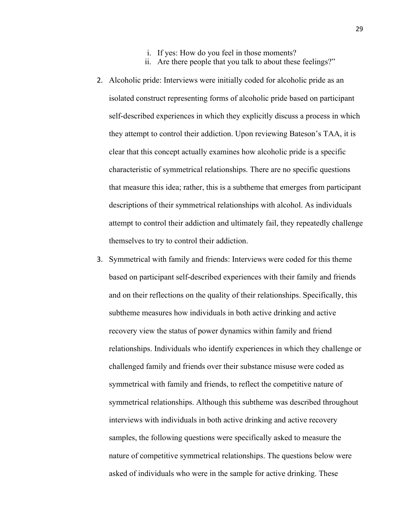- i. If yes: How do you feel in those moments?
- ii. Are there people that you talk to about these feelings?"
- 2. Alcoholic pride: Interviews were initially coded for alcoholic pride as an isolated construct representing forms of alcoholic pride based on participant self-described experiences in which they explicitly discuss a process in which they attempt to control their addiction. Upon reviewing Bateson's TAA, it is clear that this concept actually examines how alcoholic pride is a specific characteristic of symmetrical relationships. There are no specific questions that measure this idea; rather, this is a subtheme that emerges from participant descriptions of their symmetrical relationships with alcohol. As individuals attempt to control their addiction and ultimately fail, they repeatedly challenge themselves to try to control their addiction.
- 3. Symmetrical with family and friends: Interviews were coded for this theme based on participant self-described experiences with their family and friends and on their reflections on the quality of their relationships. Specifically, this subtheme measures how individuals in both active drinking and active recovery view the status of power dynamics within family and friend relationships. Individuals who identify experiences in which they challenge or challenged family and friends over their substance misuse were coded as symmetrical with family and friends, to reflect the competitive nature of symmetrical relationships. Although this subtheme was described throughout interviews with individuals in both active drinking and active recovery samples, the following questions were specifically asked to measure the nature of competitive symmetrical relationships. The questions below were asked of individuals who were in the sample for active drinking. These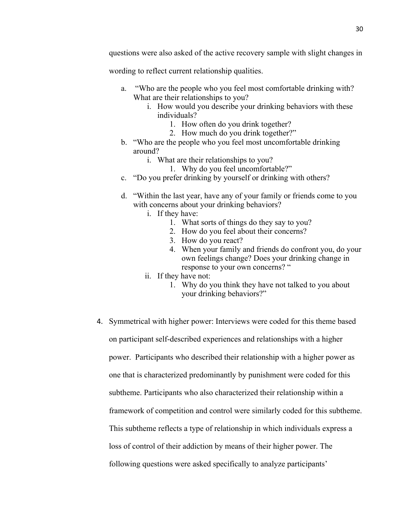wording to reflect current relationship qualities.

- a. "Who are the people who you feel most comfortable drinking with? What are their relationships to you?
	- i. How would you describe your drinking behaviors with these individuals?
		- 1. How often do you drink together?
		- 2. How much do you drink together?"
- b. "Who are the people who you feel most uncomfortable drinking around?
	- i. What are their relationships to you?
		- 1. Why do you feel uncomfortable?"
- c. "Do you prefer drinking by yourself or drinking with others?
- d. "Within the last year, have any of your family or friends come to you with concerns about your drinking behaviors?
	- i. If they have:
		- 1. What sorts of things do they say to you?
		- 2. How do you feel about their concerns?
		- 3. How do you react?
		- 4. When your family and friends do confront you, do your own feelings change? Does your drinking change in response to your own concerns? "
	- ii. If they have not:
		- 1. Why do you think they have not talked to you about your drinking behaviors?"
- 4. Symmetrical with higher power: Interviews were coded for this theme based on participant self-described experiences and relationships with a higher power. Participants who described their relationship with a higher power as one that is characterized predominantly by punishment were coded for this subtheme. Participants who also characterized their relationship within a framework of competition and control were similarly coded for this subtheme. This subtheme reflects a type of relationship in which individuals express a loss of control of their addiction by means of their higher power. The following questions were asked specifically to analyze participants'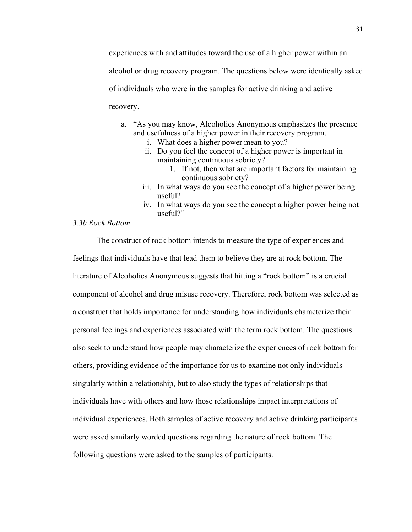experiences with and attitudes toward the use of a higher power within an alcohol or drug recovery program. The questions below were identically asked of individuals who were in the samples for active drinking and active recovery.

- a. "As you may know, Alcoholics Anonymous emphasizes the presence and usefulness of a higher power in their recovery program.
	- i. What does a higher power mean to you?
	- ii. Do you feel the concept of a higher power is important in maintaining continuous sobriety?
		- 1. If not, then what are important factors for maintaining continuous sobriety?
	- iii. In what ways do you see the concept of a higher power being useful?
	- iv. In what ways do you see the concept a higher power being not useful?"

## *3.3b Rock Bottom*

The construct of rock bottom intends to measure the type of experiences and feelings that individuals have that lead them to believe they are at rock bottom. The literature of Alcoholics Anonymous suggests that hitting a "rock bottom" is a crucial component of alcohol and drug misuse recovery. Therefore, rock bottom was selected as a construct that holds importance for understanding how individuals characterize their personal feelings and experiences associated with the term rock bottom. The questions also seek to understand how people may characterize the experiences of rock bottom for others, providing evidence of the importance for us to examine not only individuals singularly within a relationship, but to also study the types of relationships that individuals have with others and how those relationships impact interpretations of individual experiences. Both samples of active recovery and active drinking participants were asked similarly worded questions regarding the nature of rock bottom. The following questions were asked to the samples of participants.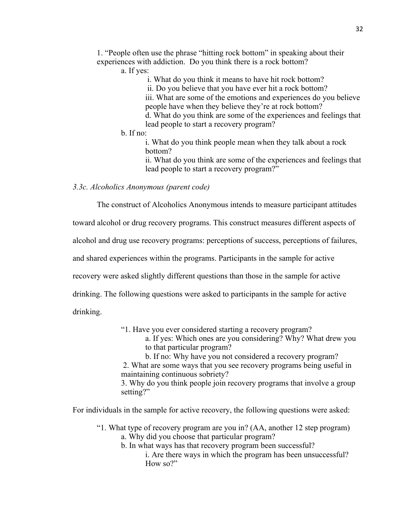1. "People often use the phrase "hitting rock bottom" in speaking about their experiences with addiction. Do you think there is a rock bottom?

a. If yes:

i. What do you think it means to have hit rock bottom?

ii. Do you believe that you have ever hit a rock bottom?

iii. What are some of the emotions and experiences do you believe people have when they believe they're at rock bottom?

d. What do you think are some of the experiences and feelings that lead people to start a recovery program?

b. If no:

i. What do you think people mean when they talk about a rock bottom?

ii. What do you think are some of the experiences and feelings that lead people to start a recovery program?"

*3.3c. Alcoholics Anonymous (parent code)*

The construct of Alcoholics Anonymous intends to measure participant attitudes

toward alcohol or drug recovery programs. This construct measures different aspects of

alcohol and drug use recovery programs: perceptions of success, perceptions of failures,

and shared experiences within the programs. Participants in the sample for active

recovery were asked slightly different questions than those in the sample for active

drinking. The following questions were asked to participants in the sample for active

drinking.

"1. Have you ever considered starting a recovery program?

a. If yes: Which ones are you considering? Why? What drew you to that particular program?

b. If no: Why have you not considered a recovery program? 2. What are some ways that you see recovery programs being useful in maintaining continuous sobriety?

3. Why do you think people join recovery programs that involve a group setting?"

For individuals in the sample for active recovery, the following questions were asked:

"1. What type of recovery program are you in? (AA, another 12 step program)

- a. Why did you choose that particular program?
- b. In what ways has that recovery program been successful? i. Are there ways in which the program has been unsuccessful? How so?"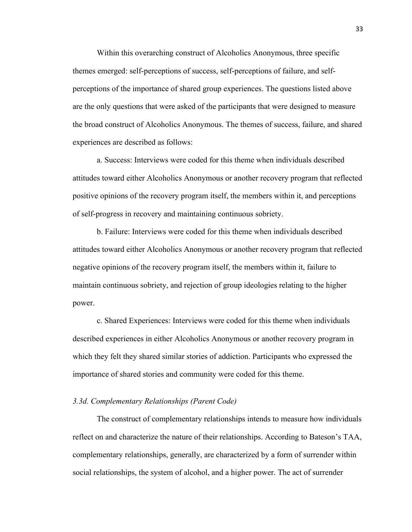Within this overarching construct of Alcoholics Anonymous, three specific themes emerged: self-perceptions of success, self-perceptions of failure, and selfperceptions of the importance of shared group experiences. The questions listed above are the only questions that were asked of the participants that were designed to measure the broad construct of Alcoholics Anonymous. The themes of success, failure, and shared experiences are described as follows:

a. Success: Interviews were coded for this theme when individuals described attitudes toward either Alcoholics Anonymous or another recovery program that reflected positive opinions of the recovery program itself, the members within it, and perceptions of self-progress in recovery and maintaining continuous sobriety.

b. Failure: Interviews were coded for this theme when individuals described attitudes toward either Alcoholics Anonymous or another recovery program that reflected negative opinions of the recovery program itself, the members within it, failure to maintain continuous sobriety, and rejection of group ideologies relating to the higher power.

c. Shared Experiences: Interviews were coded for this theme when individuals described experiences in either Alcoholics Anonymous or another recovery program in which they felt they shared similar stories of addiction. Participants who expressed the importance of shared stories and community were coded for this theme.

#### *3.3d. Complementary Relationships (Parent Code)*

The construct of complementary relationships intends to measure how individuals reflect on and characterize the nature of their relationships. According to Bateson's TAA, complementary relationships, generally, are characterized by a form of surrender within social relationships, the system of alcohol, and a higher power. The act of surrender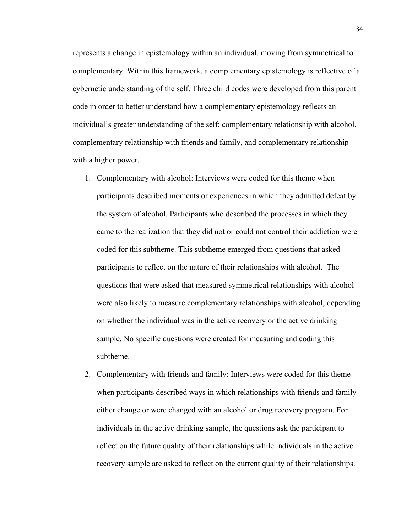represents a change in epistemology within an individual, moving from symmetrical to complementary. Within this framework, a complementary epistemology is reflective of a cybernetic understanding of the self. Three child codes were developed from this parent code in order to better understand how a complementary epistemology reflects an individual's greater understanding of the self: complementary relationship with alcohol, complementary relationship with friends and family, and complementary relationship with a higher power.

- 1. Complementary with alcohol: Interviews were coded for this theme when participants described moments or experiences in which they admitted defeat by the system of alcohol. Participants who described the processes in which they came to the realization that they did not or could not control their addiction were coded for this subtheme. This subtheme emerged from questions that asked participants to reflect on the nature of their relationships with alcohol. The questions that were asked that measured symmetrical relationships with alcohol were also likely to measure complementary relationships with alcohol, depending on whether the individual was in the active recovery or the active drinking sample. No specific questions were created for measuring and coding this subtheme.
- 2. Complementary with friends and family: Interviews were coded for this theme when participants described ways in which relationships with friends and family either change or were changed with an alcohol or drug recovery program. For individuals in the active drinking sample, the questions ask the participant to reflect on the future quality of their relationships while individuals in the active recovery sample are asked to reflect on the current quality of their relationships.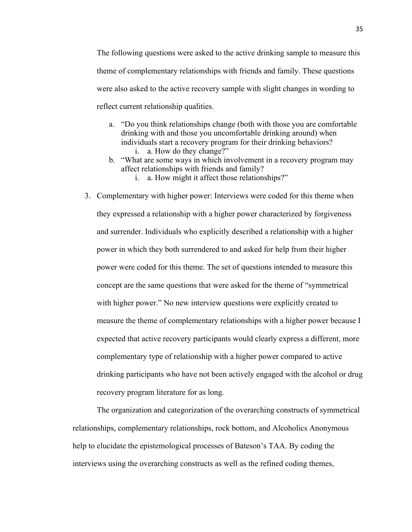The following questions were asked to the active drinking sample to measure this theme of complementary relationships with friends and family. These questions were also asked to the active recovery sample with slight changes in wording to reflect current relationship qualities.

- a. "Do you think relationships change (both with those you are comfortable drinking with and those you uncomfortable drinking around) when individuals start a recovery program for their drinking behaviors? i. a. How do they change?"
- b. "What are some ways in which involvement in a recovery program may affect relationships with friends and family?
	- i. a. How might it affect those relationships?"
- 3. Complementary with higher power: Interviews were coded for this theme when they expressed a relationship with a higher power characterized by forgiveness and surrender. Individuals who explicitly described a relationship with a higher power in which they both surrendered to and asked for help from their higher power were coded for this theme. The set of questions intended to measure this concept are the same questions that were asked for the theme of "symmetrical with higher power." No new interview questions were explicitly created to measure the theme of complementary relationships with a higher power because I expected that active recovery participants would clearly express a different, more complementary type of relationship with a higher power compared to active drinking participants who have not been actively engaged with the alcohol or drug recovery program literature for as long.

The organization and categorization of the overarching constructs of symmetrical relationships, complementary relationships, rock bottom, and Alcoholics Anonymous help to elucidate the epistemological processes of Bateson's TAA. By coding the interviews using the overarching constructs as well as the refined coding themes,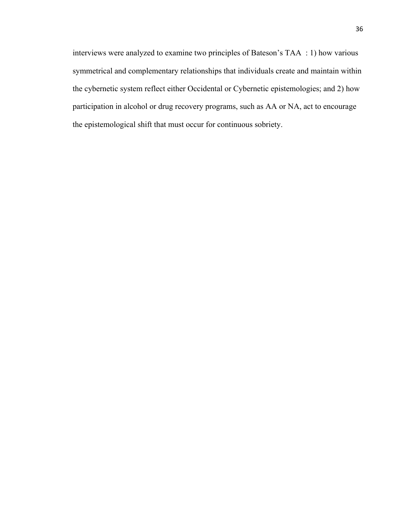interviews were analyzed to examine two principles of Bateson's TAA : 1) how various symmetrical and complementary relationships that individuals create and maintain within the cybernetic system reflect either Occidental or Cybernetic epistemologies; and 2) how participation in alcohol or drug recovery programs, such as AA or NA, act to encourage the epistemological shift that must occur for continuous sobriety.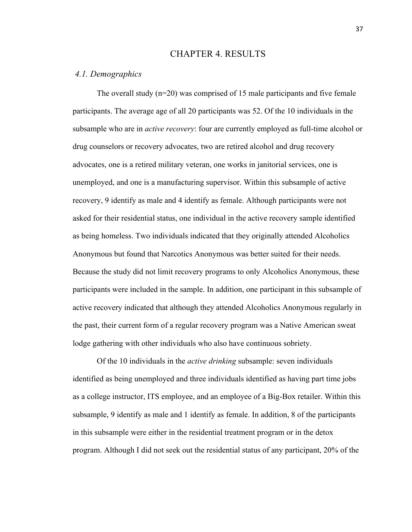### CHAPTER 4. RESULTS

#### *4.1. Demographics*

The overall study  $(n=20)$  was comprised of 15 male participants and five female participants. The average age of all 20 participants was 52. Of the 10 individuals in the subsample who are in *active recovery*: four are currently employed as full-time alcohol or drug counselors or recovery advocates, two are retired alcohol and drug recovery advocates, one is a retired military veteran, one works in janitorial services, one is unemployed, and one is a manufacturing supervisor. Within this subsample of active recovery, 9 identify as male and 4 identify as female. Although participants were not asked for their residential status, one individual in the active recovery sample identified as being homeless. Two individuals indicated that they originally attended Alcoholics Anonymous but found that Narcotics Anonymous was better suited for their needs. Because the study did not limit recovery programs to only Alcoholics Anonymous, these participants were included in the sample. In addition, one participant in this subsample of active recovery indicated that although they attended Alcoholics Anonymous regularly in the past, their current form of a regular recovery program was a Native American sweat lodge gathering with other individuals who also have continuous sobriety.

Of the 10 individuals in the *active drinking* subsample: seven individuals identified as being unemployed and three individuals identified as having part time jobs as a college instructor, ITS employee, and an employee of a Big-Box retailer. Within this subsample, 9 identify as male and 1 identify as female. In addition, 8 of the participants in this subsample were either in the residential treatment program or in the detox program. Although I did not seek out the residential status of any participant, 20% of the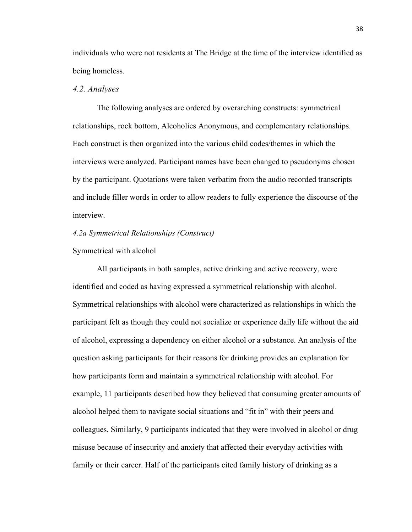individuals who were not residents at The Bridge at the time of the interview identified as being homeless.

## *4.2. Analyses*

The following analyses are ordered by overarching constructs: symmetrical relationships, rock bottom, Alcoholics Anonymous, and complementary relationships. Each construct is then organized into the various child codes/themes in which the interviews were analyzed. Participant names have been changed to pseudonyms chosen by the participant. Quotations were taken verbatim from the audio recorded transcripts and include filler words in order to allow readers to fully experience the discourse of the interview.

### *4.2a Symmetrical Relationships (Construct)*

### Symmetrical with alcohol

All participants in both samples, active drinking and active recovery, were identified and coded as having expressed a symmetrical relationship with alcohol. Symmetrical relationships with alcohol were characterized as relationships in which the participant felt as though they could not socialize or experience daily life without the aid of alcohol, expressing a dependency on either alcohol or a substance. An analysis of the question asking participants for their reasons for drinking provides an explanation for how participants form and maintain a symmetrical relationship with alcohol. For example, 11 participants described how they believed that consuming greater amounts of alcohol helped them to navigate social situations and "fit in" with their peers and colleagues. Similarly, 9 participants indicated that they were involved in alcohol or drug misuse because of insecurity and anxiety that affected their everyday activities with family or their career. Half of the participants cited family history of drinking as a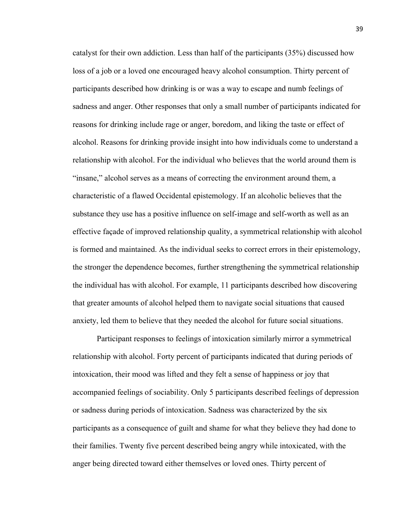catalyst for their own addiction. Less than half of the participants (35%) discussed how loss of a job or a loved one encouraged heavy alcohol consumption. Thirty percent of participants described how drinking is or was a way to escape and numb feelings of sadness and anger. Other responses that only a small number of participants indicated for reasons for drinking include rage or anger, boredom, and liking the taste or effect of alcohol. Reasons for drinking provide insight into how individuals come to understand a relationship with alcohol. For the individual who believes that the world around them is "insane," alcohol serves as a means of correcting the environment around them, a characteristic of a flawed Occidental epistemology. If an alcoholic believes that the substance they use has a positive influence on self-image and self-worth as well as an effective façade of improved relationship quality, a symmetrical relationship with alcohol is formed and maintained. As the individual seeks to correct errors in their epistemology, the stronger the dependence becomes, further strengthening the symmetrical relationship the individual has with alcohol. For example, 11 participants described how discovering that greater amounts of alcohol helped them to navigate social situations that caused anxiety, led them to believe that they needed the alcohol for future social situations.

Participant responses to feelings of intoxication similarly mirror a symmetrical relationship with alcohol. Forty percent of participants indicated that during periods of intoxication, their mood was lifted and they felt a sense of happiness or joy that accompanied feelings of sociability. Only 5 participants described feelings of depression or sadness during periods of intoxication. Sadness was characterized by the six participants as a consequence of guilt and shame for what they believe they had done to their families. Twenty five percent described being angry while intoxicated, with the anger being directed toward either themselves or loved ones. Thirty percent of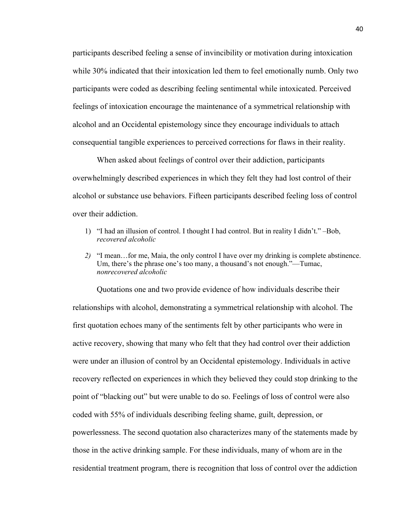participants described feeling a sense of invincibility or motivation during intoxication while 30% indicated that their intoxication led them to feel emotionally numb. Only two participants were coded as describing feeling sentimental while intoxicated. Perceived feelings of intoxication encourage the maintenance of a symmetrical relationship with alcohol and an Occidental epistemology since they encourage individuals to attach consequential tangible experiences to perceived corrections for flaws in their reality.

When asked about feelings of control over their addiction, participants overwhelmingly described experiences in which they felt they had lost control of their alcohol or substance use behaviors. Fifteen participants described feeling loss of control over their addiction.

- 1) "I had an illusion of control. I thought I had control. But in reality I didn't." –Bob, *recovered alcoholic*
- *2)* "I mean…for me, Maia, the only control I have over my drinking is complete abstinence. Um, there's the phrase one's too many, a thousand's not enough."—Tumac, *nonrecovered alcoholic*

Quotations one and two provide evidence of how individuals describe their relationships with alcohol, demonstrating a symmetrical relationship with alcohol. The first quotation echoes many of the sentiments felt by other participants who were in active recovery, showing that many who felt that they had control over their addiction were under an illusion of control by an Occidental epistemology. Individuals in active recovery reflected on experiences in which they believed they could stop drinking to the point of "blacking out" but were unable to do so. Feelings of loss of control were also coded with 55% of individuals describing feeling shame, guilt, depression, or powerlessness. The second quotation also characterizes many of the statements made by those in the active drinking sample. For these individuals, many of whom are in the residential treatment program, there is recognition that loss of control over the addiction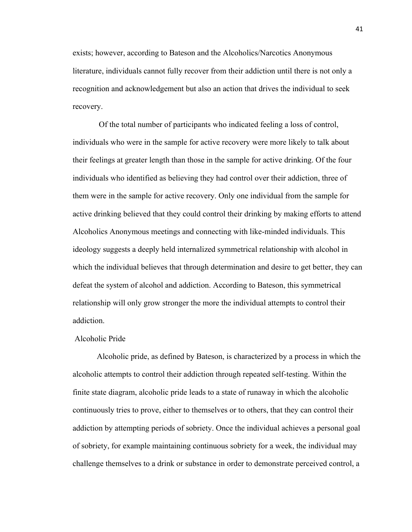exists; however, according to Bateson and the Alcoholics/Narcotics Anonymous literature, individuals cannot fully recover from their addiction until there is not only a recognition and acknowledgement but also an action that drives the individual to seek recovery.

Of the total number of participants who indicated feeling a loss of control, individuals who were in the sample for active recovery were more likely to talk about their feelings at greater length than those in the sample for active drinking. Of the four individuals who identified as believing they had control over their addiction, three of them were in the sample for active recovery. Only one individual from the sample for active drinking believed that they could control their drinking by making efforts to attend Alcoholics Anonymous meetings and connecting with like-minded individuals. This ideology suggests a deeply held internalized symmetrical relationship with alcohol in which the individual believes that through determination and desire to get better, they can defeat the system of alcohol and addiction. According to Bateson, this symmetrical relationship will only grow stronger the more the individual attempts to control their addiction.

#### Alcoholic Pride

Alcoholic pride, as defined by Bateson, is characterized by a process in which the alcoholic attempts to control their addiction through repeated self-testing. Within the finite state diagram, alcoholic pride leads to a state of runaway in which the alcoholic continuously tries to prove, either to themselves or to others, that they can control their addiction by attempting periods of sobriety. Once the individual achieves a personal goal of sobriety, for example maintaining continuous sobriety for a week, the individual may challenge themselves to a drink or substance in order to demonstrate perceived control, a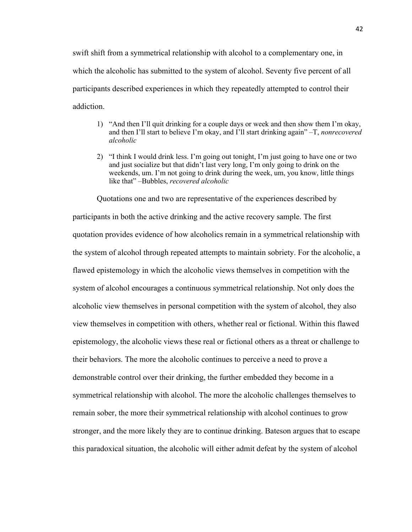swift shift from a symmetrical relationship with alcohol to a complementary one, in which the alcoholic has submitted to the system of alcohol. Seventy five percent of all participants described experiences in which they repeatedly attempted to control their addiction.

- 1) "And then I'll quit drinking for a couple days or week and then show them I'm okay, and then I'll start to believe I'm okay, and I'll start drinking again" –T, *nonrecovered alcoholic*
- 2) "I think I would drink less. I'm going out tonight, I'm just going to have one or two and just socialize but that didn't last very long, I'm only going to drink on the weekends, um. I'm not going to drink during the week, um, you know, little things like that" –Bubbles, *recovered alcoholic*

Quotations one and two are representative of the experiences described by participants in both the active drinking and the active recovery sample. The first quotation provides evidence of how alcoholics remain in a symmetrical relationship with the system of alcohol through repeated attempts to maintain sobriety. For the alcoholic, a flawed epistemology in which the alcoholic views themselves in competition with the system of alcohol encourages a continuous symmetrical relationship. Not only does the alcoholic view themselves in personal competition with the system of alcohol, they also view themselves in competition with others, whether real or fictional. Within this flawed epistemology, the alcoholic views these real or fictional others as a threat or challenge to their behaviors. The more the alcoholic continues to perceive a need to prove a demonstrable control over their drinking, the further embedded they become in a symmetrical relationship with alcohol. The more the alcoholic challenges themselves to remain sober, the more their symmetrical relationship with alcohol continues to grow stronger, and the more likely they are to continue drinking. Bateson argues that to escape this paradoxical situation, the alcoholic will either admit defeat by the system of alcohol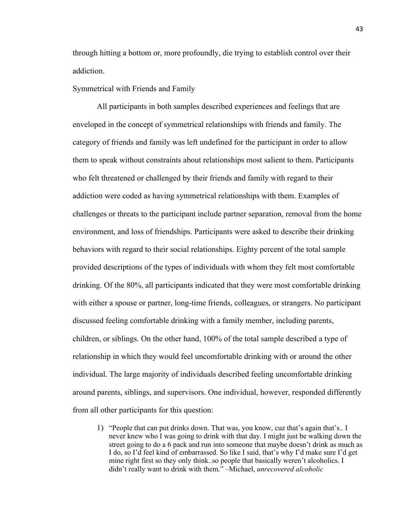through hitting a bottom or, more profoundly, die trying to establish control over their addiction.

Symmetrical with Friends and Family

All participants in both samples described experiences and feelings that are enveloped in the concept of symmetrical relationships with friends and family. The category of friends and family was left undefined for the participant in order to allow them to speak without constraints about relationships most salient to them. Participants who felt threatened or challenged by their friends and family with regard to their addiction were coded as having symmetrical relationships with them. Examples of challenges or threats to the participant include partner separation, removal from the home environment, and loss of friendships. Participants were asked to describe their drinking behaviors with regard to their social relationships. Eighty percent of the total sample provided descriptions of the types of individuals with whom they felt most comfortable drinking. Of the 80%, all participants indicated that they were most comfortable drinking with either a spouse or partner, long-time friends, colleagues, or strangers. No participant discussed feeling comfortable drinking with a family member, including parents, children, or siblings. On the other hand, 100% of the total sample described a type of relationship in which they would feel uncomfortable drinking with or around the other individual. The large majority of individuals described feeling uncomfortable drinking around parents, siblings, and supervisors. One individual, however, responded differently from all other participants for this question:

1) "People that can put drinks down. That was, you know, cuz that's again that's.. I never knew who I was going to drink with that day. I might just be walking down the street going to do a 6 pack and run into someone that maybe doesn't drink as much as I do, so I'd feel kind of embarrassed. So like I said, that's why I'd make sure I'd get mine right first so they only think..so people that basically weren't alcoholics. I didn't really want to drink with them." –Michael, *unrecovered alcoholic*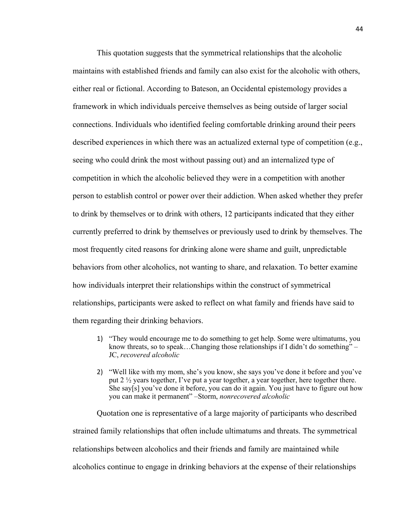This quotation suggests that the symmetrical relationships that the alcoholic maintains with established friends and family can also exist for the alcoholic with others, either real or fictional. According to Bateson, an Occidental epistemology provides a framework in which individuals perceive themselves as being outside of larger social connections. Individuals who identified feeling comfortable drinking around their peers described experiences in which there was an actualized external type of competition (e.g., seeing who could drink the most without passing out) and an internalized type of competition in which the alcoholic believed they were in a competition with another person to establish control or power over their addiction. When asked whether they prefer to drink by themselves or to drink with others, 12 participants indicated that they either currently preferred to drink by themselves or previously used to drink by themselves. The most frequently cited reasons for drinking alone were shame and guilt, unpredictable behaviors from other alcoholics, not wanting to share, and relaxation. To better examine how individuals interpret their relationships within the construct of symmetrical relationships, participants were asked to reflect on what family and friends have said to them regarding their drinking behaviors.

- 1) "They would encourage me to do something to get help. Some were ultimatums, you know threats, so to speak…Changing those relationships if I didn't do something" – JC, *recovered alcoholic*
- 2) "Well like with my mom, she's you know, she says you've done it before and you've put 2 ½ years together, I've put a year together, a year together, here together there. She say[s] you've done it before, you can do it again. You just have to figure out how you can make it permanent" –Storm, *nonrecovered alcoholic*

Quotation one is representative of a large majority of participants who described strained family relationships that often include ultimatums and threats. The symmetrical relationships between alcoholics and their friends and family are maintained while alcoholics continue to engage in drinking behaviors at the expense of their relationships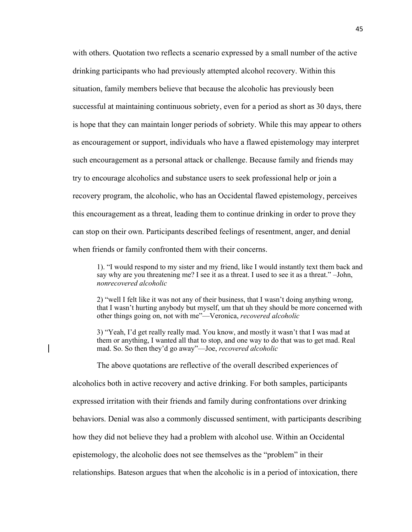with others. Quotation two reflects a scenario expressed by a small number of the active drinking participants who had previously attempted alcohol recovery. Within this situation, family members believe that because the alcoholic has previously been successful at maintaining continuous sobriety, even for a period as short as 30 days, there is hope that they can maintain longer periods of sobriety. While this may appear to others as encouragement or support, individuals who have a flawed epistemology may interpret such encouragement as a personal attack or challenge. Because family and friends may try to encourage alcoholics and substance users to seek professional help or join a recovery program, the alcoholic, who has an Occidental flawed epistemology, perceives this encouragement as a threat, leading them to continue drinking in order to prove they can stop on their own. Participants described feelings of resentment, anger, and denial when friends or family confronted them with their concerns.

1). "I would respond to my sister and my friend, like I would instantly text them back and say why are you threatening me? I see it as a threat. I used to see it as a threat." –John, *nonrecovered alcoholic*

2) "well I felt like it was not any of their business, that I wasn't doing anything wrong, that I wasn't hurting anybody but myself, um that uh they should be more concerned with other things going on, not with me"—Veronica, *recovered alcoholic*

3) "Yeah, I'd get really really mad. You know, and mostly it wasn't that I was mad at them or anything, I wanted all that to stop, and one way to do that was to get mad. Real mad. So. So then they'd go away"—Joe, *recovered alcoholic* 

The above quotations are reflective of the overall described experiences of

alcoholics both in active recovery and active drinking. For both samples, participants

expressed irritation with their friends and family during confrontations over drinking

behaviors. Denial was also a commonly discussed sentiment, with participants describing

how they did not believe they had a problem with alcohol use. Within an Occidental

epistemology, the alcoholic does not see themselves as the "problem" in their

relationships. Bateson argues that when the alcoholic is in a period of intoxication, there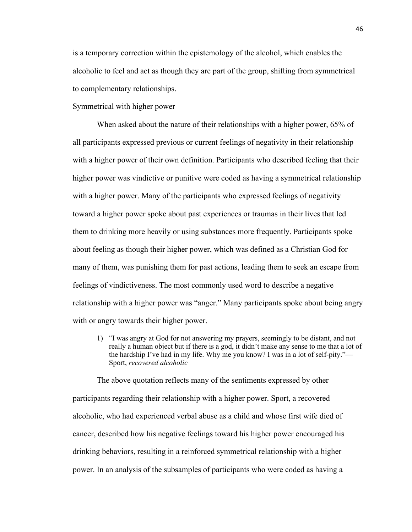is a temporary correction within the epistemology of the alcohol, which enables the alcoholic to feel and act as though they are part of the group, shifting from symmetrical to complementary relationships.

## Symmetrical with higher power

When asked about the nature of their relationships with a higher power, 65% of all participants expressed previous or current feelings of negativity in their relationship with a higher power of their own definition. Participants who described feeling that their higher power was vindictive or punitive were coded as having a symmetrical relationship with a higher power. Many of the participants who expressed feelings of negativity toward a higher power spoke about past experiences or traumas in their lives that led them to drinking more heavily or using substances more frequently. Participants spoke about feeling as though their higher power, which was defined as a Christian God for many of them, was punishing them for past actions, leading them to seek an escape from feelings of vindictiveness. The most commonly used word to describe a negative relationship with a higher power was "anger." Many participants spoke about being angry with or angry towards their higher power.

1) "I was angry at God for not answering my prayers, seemingly to be distant, and not really a human object but if there is a god, it didn't make any sense to me that a lot of the hardship I've had in my life. Why me you know? I was in a lot of self-pity."— Sport, *recovered alcoholic*

The above quotation reflects many of the sentiments expressed by other participants regarding their relationship with a higher power. Sport, a recovered alcoholic, who had experienced verbal abuse as a child and whose first wife died of cancer, described how his negative feelings toward his higher power encouraged his drinking behaviors, resulting in a reinforced symmetrical relationship with a higher power. In an analysis of the subsamples of participants who were coded as having a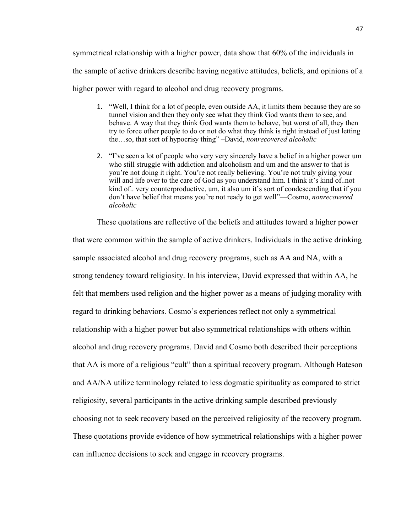symmetrical relationship with a higher power, data show that 60% of the individuals in the sample of active drinkers describe having negative attitudes, beliefs, and opinions of a higher power with regard to alcohol and drug recovery programs.

- 1. "Well, I think for a lot of people, even outside AA, it limits them because they are so tunnel vision and then they only see what they think God wants them to see, and behave. A way that they think God wants them to behave, but worst of all, they then try to force other people to do or not do what they think is right instead of just letting the…so, that sort of hypocrisy thing" –David, *nonrecovered alcoholic*
- 2. "I've seen a lot of people who very very sincerely have a belief in a higher power um who still struggle with addiction and alcoholism and um and the answer to that is you're not doing it right. You're not really believing. You're not truly giving your will and life over to the care of God as you understand him. I think it's kind of..not kind of.. very counterproductive, um, it also um it's sort of condescending that if you don't have belief that means you're not ready to get well"—Cosmo, *nonrecovered alcoholic*

These quotations are reflective of the beliefs and attitudes toward a higher power that were common within the sample of active drinkers. Individuals in the active drinking sample associated alcohol and drug recovery programs, such as AA and NA, with a strong tendency toward religiosity. In his interview, David expressed that within AA, he felt that members used religion and the higher power as a means of judging morality with regard to drinking behaviors. Cosmo's experiences reflect not only a symmetrical relationship with a higher power but also symmetrical relationships with others within alcohol and drug recovery programs. David and Cosmo both described their perceptions that AA is more of a religious "cult" than a spiritual recovery program. Although Bateson and AA/NA utilize terminology related to less dogmatic spirituality as compared to strict religiosity, several participants in the active drinking sample described previously choosing not to seek recovery based on the perceived religiosity of the recovery program. These quotations provide evidence of how symmetrical relationships with a higher power can influence decisions to seek and engage in recovery programs.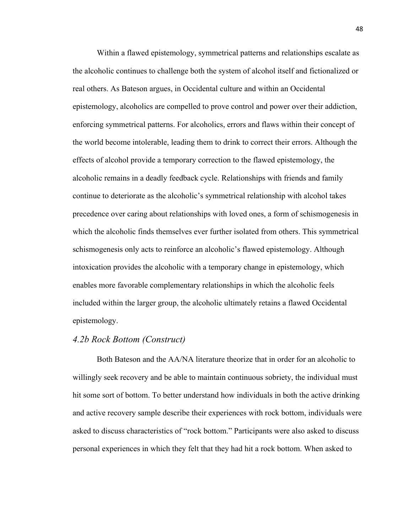Within a flawed epistemology, symmetrical patterns and relationships escalate as the alcoholic continues to challenge both the system of alcohol itself and fictionalized or real others. As Bateson argues, in Occidental culture and within an Occidental epistemology, alcoholics are compelled to prove control and power over their addiction, enforcing symmetrical patterns. For alcoholics, errors and flaws within their concept of the world become intolerable, leading them to drink to correct their errors. Although the effects of alcohol provide a temporary correction to the flawed epistemology, the alcoholic remains in a deadly feedback cycle. Relationships with friends and family continue to deteriorate as the alcoholic's symmetrical relationship with alcohol takes precedence over caring about relationships with loved ones, a form of schismogenesis in which the alcoholic finds themselves ever further isolated from others. This symmetrical schismogenesis only acts to reinforce an alcoholic's flawed epistemology. Although intoxication provides the alcoholic with a temporary change in epistemology, which enables more favorable complementary relationships in which the alcoholic feels included within the larger group, the alcoholic ultimately retains a flawed Occidental epistemology.

## *4.2b Rock Bottom (Construct)*

Both Bateson and the AA/NA literature theorize that in order for an alcoholic to willingly seek recovery and be able to maintain continuous sobriety, the individual must hit some sort of bottom. To better understand how individuals in both the active drinking and active recovery sample describe their experiences with rock bottom, individuals were asked to discuss characteristics of "rock bottom." Participants were also asked to discuss personal experiences in which they felt that they had hit a rock bottom. When asked to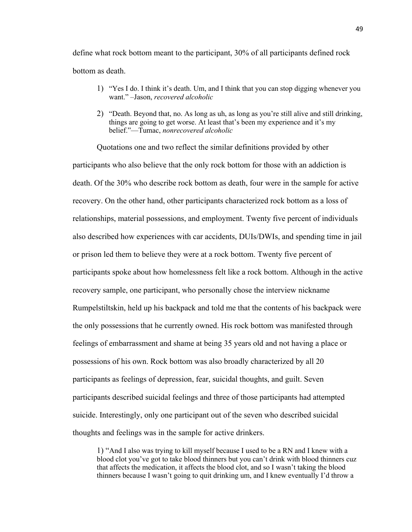define what rock bottom meant to the participant, 30% of all participants defined rock bottom as death.

- 1) "Yes I do. I think it's death. Um, and I think that you can stop digging whenever you want." –Jason, *recovered alcoholic*
- 2) "Death. Beyond that, no. As long as uh, as long as you're still alive and still drinking, things are going to get worse. At least that's been my experience and it's my belief."—Tumac, *nonrecovered alcoholic*

Quotations one and two reflect the similar definitions provided by other participants who also believe that the only rock bottom for those with an addiction is death. Of the 30% who describe rock bottom as death, four were in the sample for active recovery. On the other hand, other participants characterized rock bottom as a loss of relationships, material possessions, and employment. Twenty five percent of individuals also described how experiences with car accidents, DUIs/DWIs, and spending time in jail or prison led them to believe they were at a rock bottom. Twenty five percent of participants spoke about how homelessness felt like a rock bottom. Although in the active recovery sample, one participant, who personally chose the interview nickname Rumpelstiltskin, held up his backpack and told me that the contents of his backpack were the only possessions that he currently owned. His rock bottom was manifested through feelings of embarrassment and shame at being 35 years old and not having a place or possessions of his own. Rock bottom was also broadly characterized by all 20 participants as feelings of depression, fear, suicidal thoughts, and guilt. Seven participants described suicidal feelings and three of those participants had attempted suicide. Interestingly, only one participant out of the seven who described suicidal thoughts and feelings was in the sample for active drinkers.

1) "And I also was trying to kill myself because I used to be a RN and I knew with a blood clot you've got to take blood thinners but you can't drink with blood thinners cuz that affects the medication, it affects the blood clot, and so I wasn't taking the blood thinners because I wasn't going to quit drinking um, and I knew eventually I'd throw a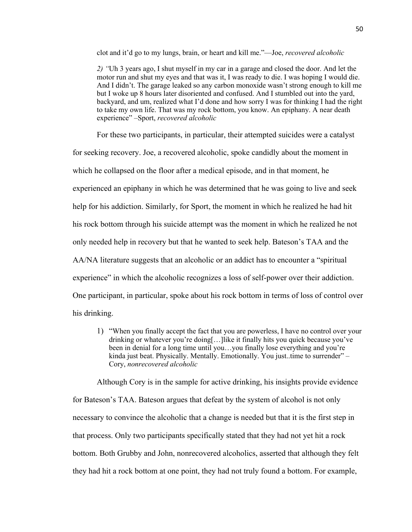clot and it'd go to my lungs, brain, or heart and kill me."—Joe, *recovered alcoholic*

*2) "*Uh 3 years ago, I shut myself in my car in a garage and closed the door. And let the motor run and shut my eyes and that was it, I was ready to die. I was hoping I would die. And I didn't. The garage leaked so any carbon monoxide wasn't strong enough to kill me but I woke up 8 hours later disoriented and confused. And I stumbled out into the yard, backyard, and um, realized what I'd done and how sorry I was for thinking I had the right to take my own life. That was my rock bottom, you know. An epiphany. A near death experience" –Sport, *recovered alcoholic*

For these two participants, in particular, their attempted suicides were a catalyst

for seeking recovery. Joe, a recovered alcoholic, spoke candidly about the moment in

which he collapsed on the floor after a medical episode, and in that moment, he

experienced an epiphany in which he was determined that he was going to live and seek

help for his addiction. Similarly, for Sport, the moment in which he realized he had hit

his rock bottom through his suicide attempt was the moment in which he realized he not

only needed help in recovery but that he wanted to seek help. Bateson's TAA and the

AA/NA literature suggests that an alcoholic or an addict has to encounter a "spiritual

experience" in which the alcoholic recognizes a loss of self-power over their addiction.

One participant, in particular, spoke about his rock bottom in terms of loss of control over

his drinking.

1) "When you finally accept the fact that you are powerless, I have no control over your drinking or whatever you're doing[…]like it finally hits you quick because you've been in denial for a long time until you…you finally lose everything and you're kinda just beat. Physically. Mentally. Emotionally. You just..time to surrender" – Cory, *nonrecovered alcoholic*

Although Cory is in the sample for active drinking, his insights provide evidence for Bateson's TAA. Bateson argues that defeat by the system of alcohol is not only necessary to convince the alcoholic that a change is needed but that it is the first step in that process. Only two participants specifically stated that they had not yet hit a rock bottom. Both Grubby and John, nonrecovered alcoholics, asserted that although they felt they had hit a rock bottom at one point, they had not truly found a bottom. For example,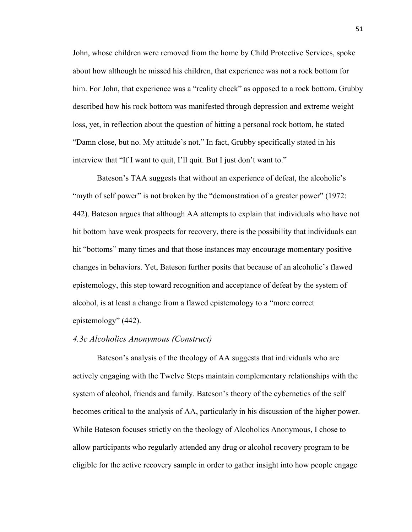John, whose children were removed from the home by Child Protective Services, spoke about how although he missed his children, that experience was not a rock bottom for him. For John, that experience was a "reality check" as opposed to a rock bottom. Grubby described how his rock bottom was manifested through depression and extreme weight loss, yet, in reflection about the question of hitting a personal rock bottom, he stated "Damn close, but no. My attitude's not." In fact, Grubby specifically stated in his interview that "If I want to quit, I'll quit. But I just don't want to."

Bateson's TAA suggests that without an experience of defeat, the alcoholic's "myth of self power" is not broken by the "demonstration of a greater power" (1972: 442). Bateson argues that although AA attempts to explain that individuals who have not hit bottom have weak prospects for recovery, there is the possibility that individuals can hit "bottoms" many times and that those instances may encourage momentary positive changes in behaviors. Yet, Bateson further posits that because of an alcoholic's flawed epistemology, this step toward recognition and acceptance of defeat by the system of alcohol, is at least a change from a flawed epistemology to a "more correct epistemology" (442).

#### *4.3c Alcoholics Anonymous (Construct)*

Bateson's analysis of the theology of AA suggests that individuals who are actively engaging with the Twelve Steps maintain complementary relationships with the system of alcohol, friends and family. Bateson's theory of the cybernetics of the self becomes critical to the analysis of AA, particularly in his discussion of the higher power. While Bateson focuses strictly on the theology of Alcoholics Anonymous, I chose to allow participants who regularly attended any drug or alcohol recovery program to be eligible for the active recovery sample in order to gather insight into how people engage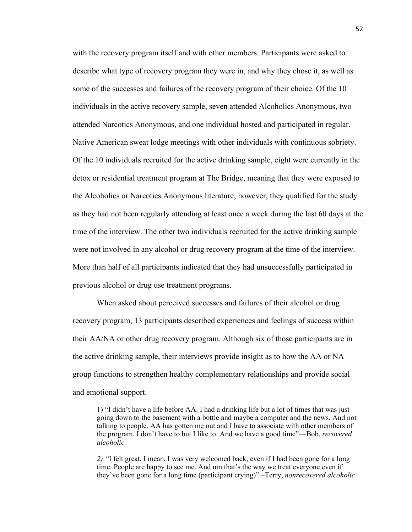with the recovery program itself and with other members. Participants were asked to describe what type of recovery program they were in, and why they chose it, as well as some of the successes and failures of the recovery program of their choice. Of the 10 individuals in the active recovery sample, seven attended Alcoholics Anonymous, two attended Narcotics Anonymous, and one individual hosted and participated in regular. Native American sweat lodge meetings with other individuals with continuous sobriety. Of the 10 individuals recruited for the active drinking sample, eight were currently in the detox or residential treatment program at The Bridge, meaning that they were exposed to the Alcoholics or Narcotics Anonymous literature; however, they qualified for the study as they had not been regularly attending at least once a week during the last 60 days at the time of the interview. The other two individuals recruited for the active drinking sample were not involved in any alcohol or drug recovery program at the time of the interview. More than half of all participants indicated that they had unsuccessfully participated in previous alcohol or drug use treatment programs.

When asked about perceived successes and failures of their alcohol or drug recovery program, 13 participants described experiences and feelings of success within their AA/NA or other drug recovery program. Although six of those participants are in the active drinking sample, their interviews provide insight as to how the AA or NA group functions to strengthen healthy complementary relationships and provide social and emotional support.

1) "I didn't have a life before AA. I had a drinking life but a lot of times that was just going down to the basement with a bottle and maybe a computer and the news. And not talking to people. AA has gotten me out and I have to associate with other members of the program. I don't have to but I like to. And we have a good time"—Bob, *recovered alcoholic*

*2) "*I felt great, I mean, I was very welcomed back, even if I had been gone for a long time. People are happy to see me. And um that's the way we treat everyone even if they've been gone for a long time (participant crying)" –Terry, *nonrecovered alcoholic*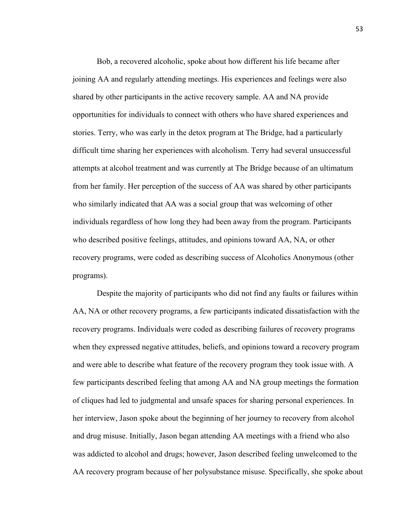Bob, a recovered alcoholic, spoke about how different his life became after joining AA and regularly attending meetings. His experiences and feelings were also shared by other participants in the active recovery sample. AA and NA provide opportunities for individuals to connect with others who have shared experiences and stories. Terry, who was early in the detox program at The Bridge, had a particularly difficult time sharing her experiences with alcoholism. Terry had several unsuccessful attempts at alcohol treatment and was currently at The Bridge because of an ultimatum from her family. Her perception of the success of AA was shared by other participants who similarly indicated that AA was a social group that was welcoming of other individuals regardless of how long they had been away from the program. Participants who described positive feelings, attitudes, and opinions toward AA, NA, or other recovery programs, were coded as describing success of Alcoholics Anonymous (other programs).

Despite the majority of participants who did not find any faults or failures within AA, NA or other recovery programs, a few participants indicated dissatisfaction with the recovery programs. Individuals were coded as describing failures of recovery programs when they expressed negative attitudes, beliefs, and opinions toward a recovery program and were able to describe what feature of the recovery program they took issue with. A few participants described feeling that among AA and NA group meetings the formation of cliques had led to judgmental and unsafe spaces for sharing personal experiences. In her interview, Jason spoke about the beginning of her journey to recovery from alcohol and drug misuse. Initially, Jason began attending AA meetings with a friend who also was addicted to alcohol and drugs; however, Jason described feeling unwelcomed to the AA recovery program because of her polysubstance misuse. Specifically, she spoke about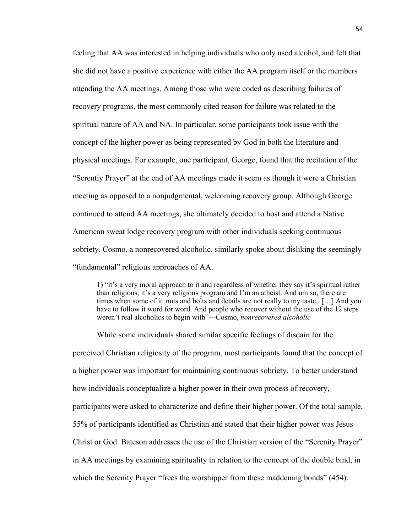feeling that AA was interested in helping individuals who only used alcohol, and felt that she did not have a positive experience with either the AA program itself or the members attending the AA meetings. Among those who were coded as describing failures of recovery programs, the most commonly cited reason for failure was related to the spiritual nature of AA and NA. In particular, some participants took issue with the concept of the higher power as being represented by God in both the literature and physical meetings. For example, one participant, George, found that the recitation of the "Serentiy Prayer" at the end of AA meetings made it seem as though it were a Christian meeting as opposed to a nonjudgmental, welcoming recovery group. Although George continued to attend AA meetings, she ultimately decided to host and attend a Native American sweat lodge recovery program with other individuals seeking continuous sobriety. Cosmo, a nonrecovered alcoholic, similarly spoke about disliking the seemingly "fundamental" religious approaches of AA.

1) "it's a very moral approach to it and regardless of whether they say it's spiritual rather than religious, it's a very religious program and I'm an atheist. And um so, there are times when some of it..nuts and bolts and details are not really to my taste.. […] And you have to follow it word for word. And people who recover without the use of the 12 steps weren't real alcoholics to begin with"—Cosmo, *nonrecovered alcoholic*

While some individuals shared similar specific feelings of disdain for the perceived Christian religiosity of the program, most participants found that the concept of a higher power was important for maintaining continuous sobriety. To better understand how individuals conceptualize a higher power in their own process of recovery, participants were asked to characterize and define their higher power. Of the total sample, 55% of participants identified as Christian and stated that their higher power was Jesus Christ or God. Bateson addresses the use of the Christian version of the "Serenity Prayer" in AA meetings by examining spirituality in relation to the concept of the double bind, in which the Serenity Prayer "frees the worshipper from these maddening bonds" (454).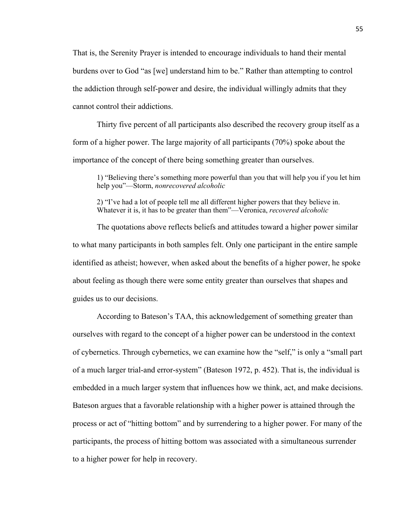That is, the Serenity Prayer is intended to encourage individuals to hand their mental burdens over to God "as [we] understand him to be." Rather than attempting to control the addiction through self-power and desire, the individual willingly admits that they cannot control their addictions.

Thirty five percent of all participants also described the recovery group itself as a form of a higher power. The large majority of all participants (70%) spoke about the importance of the concept of there being something greater than ourselves.

1) "Believing there's something more powerful than you that will help you if you let him help you"—Storm, *nonrecovered alcoholic*

2) "I've had a lot of people tell me all different higher powers that they believe in. Whatever it is, it has to be greater than them"—Veronica, *recovered alcoholic*

The quotations above reflects beliefs and attitudes toward a higher power similar to what many participants in both samples felt. Only one participant in the entire sample identified as atheist; however, when asked about the benefits of a higher power, he spoke about feeling as though there were some entity greater than ourselves that shapes and guides us to our decisions.

According to Bateson's TAA, this acknowledgement of something greater than ourselves with regard to the concept of a higher power can be understood in the context of cybernetics. Through cybernetics, we can examine how the "self," is only a "small part of a much larger trial-and error-system" (Bateson 1972, p. 452). That is, the individual is embedded in a much larger system that influences how we think, act, and make decisions. Bateson argues that a favorable relationship with a higher power is attained through the process or act of "hitting bottom" and by surrendering to a higher power. For many of the participants, the process of hitting bottom was associated with a simultaneous surrender to a higher power for help in recovery.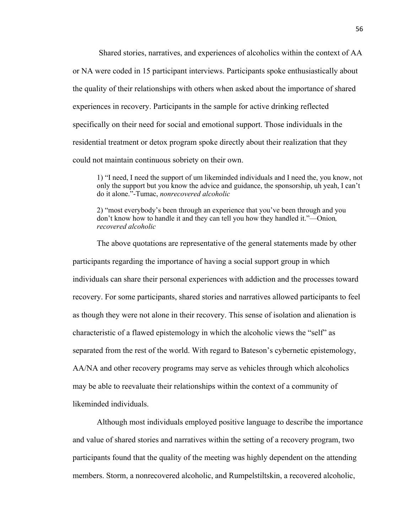Shared stories, narratives, and experiences of alcoholics within the context of AA or NA were coded in 15 participant interviews. Participants spoke enthusiastically about the quality of their relationships with others when asked about the importance of shared experiences in recovery. Participants in the sample for active drinking reflected specifically on their need for social and emotional support. Those individuals in the residential treatment or detox program spoke directly about their realization that they could not maintain continuous sobriety on their own.

1) "I need, I need the support of um likeminded individuals and I need the, you know, not only the support but you know the advice and guidance, the sponsorship, uh yeah, I can't do it alone."-Tumac, *nonrecovered alcoholic*

2) "most everybody's been through an experience that you've been through and you don't know how to handle it and they can tell you how they handled it."—Onion*, recovered alcoholic*

The above quotations are representative of the general statements made by other participants regarding the importance of having a social support group in which individuals can share their personal experiences with addiction and the processes toward recovery. For some participants, shared stories and narratives allowed participants to feel as though they were not alone in their recovery. This sense of isolation and alienation is characteristic of a flawed epistemology in which the alcoholic views the "self" as separated from the rest of the world. With regard to Bateson's cybernetic epistemology, AA/NA and other recovery programs may serve as vehicles through which alcoholics may be able to reevaluate their relationships within the context of a community of likeminded individuals.

Although most individuals employed positive language to describe the importance and value of shared stories and narratives within the setting of a recovery program, two participants found that the quality of the meeting was highly dependent on the attending members. Storm, a nonrecovered alcoholic, and Rumpelstiltskin, a recovered alcoholic,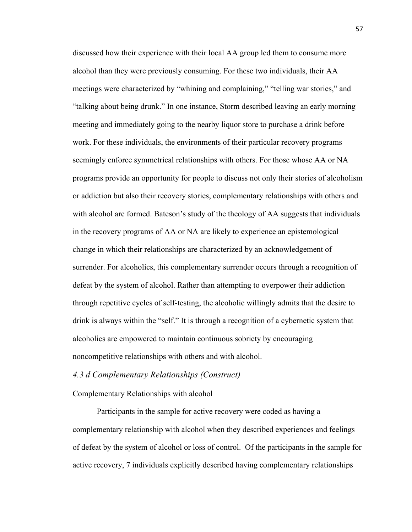discussed how their experience with their local AA group led them to consume more alcohol than they were previously consuming. For these two individuals, their AA meetings were characterized by "whining and complaining," "telling war stories," and "talking about being drunk." In one instance, Storm described leaving an early morning meeting and immediately going to the nearby liquor store to purchase a drink before work. For these individuals, the environments of their particular recovery programs seemingly enforce symmetrical relationships with others. For those whose AA or NA programs provide an opportunity for people to discuss not only their stories of alcoholism or addiction but also their recovery stories, complementary relationships with others and with alcohol are formed. Bateson's study of the theology of AA suggests that individuals in the recovery programs of AA or NA are likely to experience an epistemological change in which their relationships are characterized by an acknowledgement of surrender. For alcoholics, this complementary surrender occurs through a recognition of defeat by the system of alcohol. Rather than attempting to overpower their addiction through repetitive cycles of self-testing, the alcoholic willingly admits that the desire to drink is always within the "self." It is through a recognition of a cybernetic system that alcoholics are empowered to maintain continuous sobriety by encouraging noncompetitive relationships with others and with alcohol.

# *4.3 d Complementary Relationships (Construct)*

#### Complementary Relationships with alcohol

Participants in the sample for active recovery were coded as having a complementary relationship with alcohol when they described experiences and feelings of defeat by the system of alcohol or loss of control. Of the participants in the sample for active recovery, 7 individuals explicitly described having complementary relationships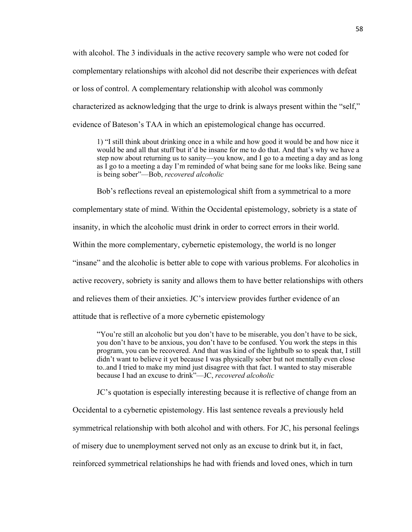with alcohol. The 3 individuals in the active recovery sample who were not coded for complementary relationships with alcohol did not describe their experiences with defeat or loss of control. A complementary relationship with alcohol was commonly characterized as acknowledging that the urge to drink is always present within the "self," evidence of Bateson's TAA in which an epistemological change has occurred.

1) "I still think about drinking once in a while and how good it would be and how nice it would be and all that stuff but it'd be insane for me to do that. And that's why we have a step now about returning us to sanity—you know, and I go to a meeting a day and as long as I go to a meeting a day I'm reminded of what being sane for me looks like. Being sane is being sober"—Bob, *recovered alcoholic*

Bob's reflections reveal an epistemological shift from a symmetrical to a more

complementary state of mind. Within the Occidental epistemology, sobriety is a state of

insanity, in which the alcoholic must drink in order to correct errors in their world.

Within the more complementary, cybernetic epistemology, the world is no longer

"insane" and the alcoholic is better able to cope with various problems. For alcoholics in

active recovery, sobriety is sanity and allows them to have better relationships with others

and relieves them of their anxieties. JC's interview provides further evidence of an

attitude that is reflective of a more cybernetic epistemology

"You're still an alcoholic but you don't have to be miserable, you don't have to be sick, you don't have to be anxious, you don't have to be confused. You work the steps in this program, you can be recovered. And that was kind of the lightbulb so to speak that, I still didn't want to believe it yet because I was physically sober but not mentally even close to..and I tried to make my mind just disagree with that fact. I wanted to stay miserable because I had an excuse to drink"—JC, *recovered alcoholic*

JC's quotation is especially interesting because it is reflective of change from an

Occidental to a cybernetic epistemology. His last sentence reveals a previously held

symmetrical relationship with both alcohol and with others. For JC, his personal feelings

of misery due to unemployment served not only as an excuse to drink but it, in fact,

reinforced symmetrical relationships he had with friends and loved ones, which in turn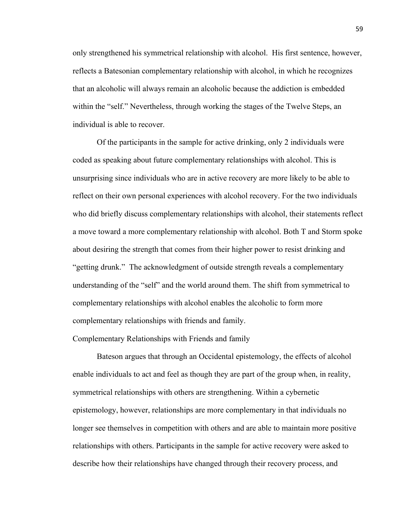only strengthened his symmetrical relationship with alcohol. His first sentence, however, reflects a Batesonian complementary relationship with alcohol, in which he recognizes that an alcoholic will always remain an alcoholic because the addiction is embedded within the "self." Nevertheless, through working the stages of the Twelve Steps, an individual is able to recover.

Of the participants in the sample for active drinking, only 2 individuals were coded as speaking about future complementary relationships with alcohol. This is unsurprising since individuals who are in active recovery are more likely to be able to reflect on their own personal experiences with alcohol recovery. For the two individuals who did briefly discuss complementary relationships with alcohol, their statements reflect a move toward a more complementary relationship with alcohol. Both T and Storm spoke about desiring the strength that comes from their higher power to resist drinking and "getting drunk." The acknowledgment of outside strength reveals a complementary understanding of the "self" and the world around them. The shift from symmetrical to complementary relationships with alcohol enables the alcoholic to form more complementary relationships with friends and family.

Complementary Relationships with Friends and family

Bateson argues that through an Occidental epistemology, the effects of alcohol enable individuals to act and feel as though they are part of the group when, in reality, symmetrical relationships with others are strengthening. Within a cybernetic epistemology, however, relationships are more complementary in that individuals no longer see themselves in competition with others and are able to maintain more positive relationships with others. Participants in the sample for active recovery were asked to describe how their relationships have changed through their recovery process, and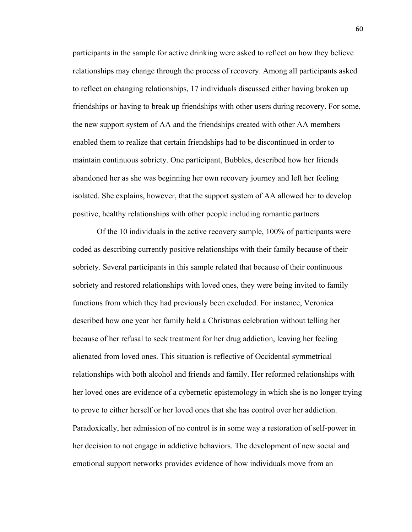participants in the sample for active drinking were asked to reflect on how they believe relationships may change through the process of recovery. Among all participants asked to reflect on changing relationships, 17 individuals discussed either having broken up friendships or having to break up friendships with other users during recovery. For some, the new support system of AA and the friendships created with other AA members enabled them to realize that certain friendships had to be discontinued in order to maintain continuous sobriety. One participant, Bubbles, described how her friends abandoned her as she was beginning her own recovery journey and left her feeling isolated. She explains, however, that the support system of AA allowed her to develop positive, healthy relationships with other people including romantic partners.

Of the 10 individuals in the active recovery sample, 100% of participants were coded as describing currently positive relationships with their family because of their sobriety. Several participants in this sample related that because of their continuous sobriety and restored relationships with loved ones, they were being invited to family functions from which they had previously been excluded. For instance, Veronica described how one year her family held a Christmas celebration without telling her because of her refusal to seek treatment for her drug addiction, leaving her feeling alienated from loved ones. This situation is reflective of Occidental symmetrical relationships with both alcohol and friends and family. Her reformed relationships with her loved ones are evidence of a cybernetic epistemology in which she is no longer trying to prove to either herself or her loved ones that she has control over her addiction. Paradoxically, her admission of no control is in some way a restoration of self-power in her decision to not engage in addictive behaviors. The development of new social and emotional support networks provides evidence of how individuals move from an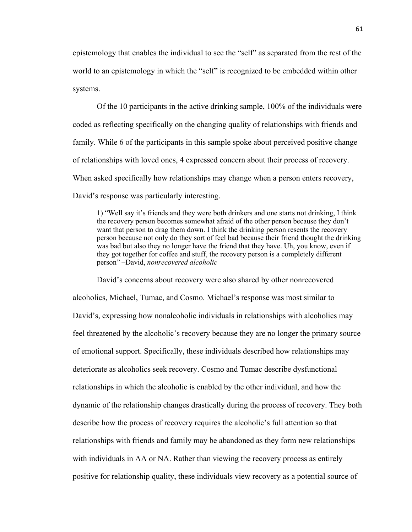epistemology that enables the individual to see the "self" as separated from the rest of the world to an epistemology in which the "self" is recognized to be embedded within other systems.

Of the 10 participants in the active drinking sample, 100% of the individuals were coded as reflecting specifically on the changing quality of relationships with friends and family. While 6 of the participants in this sample spoke about perceived positive change of relationships with loved ones, 4 expressed concern about their process of recovery. When asked specifically how relationships may change when a person enters recovery, David's response was particularly interesting.

1) "Well say it's friends and they were both drinkers and one starts not drinking, I think the recovery person becomes somewhat afraid of the other person because they don't want that person to drag them down. I think the drinking person resents the recovery person because not only do they sort of feel bad because their friend thought the drinking was bad but also they no longer have the friend that they have. Uh, you know, even if they got together for coffee and stuff, the recovery person is a completely different person" –David, *nonrecovered alcoholic*

David's concerns about recovery were also shared by other nonrecovered alcoholics, Michael, Tumac, and Cosmo. Michael's response was most similar to David's, expressing how nonalcoholic individuals in relationships with alcoholics may feel threatened by the alcoholic's recovery because they are no longer the primary source of emotional support. Specifically, these individuals described how relationships may deteriorate as alcoholics seek recovery. Cosmo and Tumac describe dysfunctional relationships in which the alcoholic is enabled by the other individual, and how the dynamic of the relationship changes drastically during the process of recovery. They both describe how the process of recovery requires the alcoholic's full attention so that relationships with friends and family may be abandoned as they form new relationships with individuals in AA or NA. Rather than viewing the recovery process as entirely positive for relationship quality, these individuals view recovery as a potential source of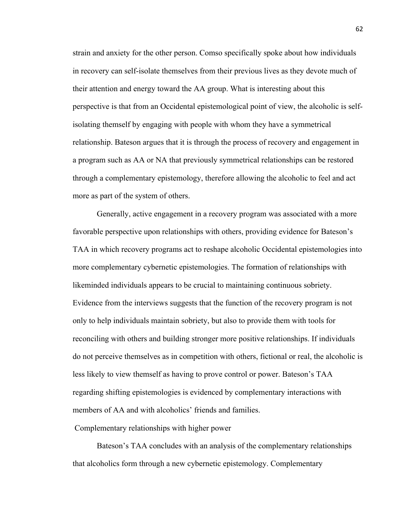strain and anxiety for the other person. Comso specifically spoke about how individuals in recovery can self-isolate themselves from their previous lives as they devote much of their attention and energy toward the AA group. What is interesting about this perspective is that from an Occidental epistemological point of view, the alcoholic is selfisolating themself by engaging with people with whom they have a symmetrical relationship. Bateson argues that it is through the process of recovery and engagement in a program such as AA or NA that previously symmetrical relationships can be restored through a complementary epistemology, therefore allowing the alcoholic to feel and act more as part of the system of others.

Generally, active engagement in a recovery program was associated with a more favorable perspective upon relationships with others, providing evidence for Bateson's TAA in which recovery programs act to reshape alcoholic Occidental epistemologies into more complementary cybernetic epistemologies. The formation of relationships with likeminded individuals appears to be crucial to maintaining continuous sobriety. Evidence from the interviews suggests that the function of the recovery program is not only to help individuals maintain sobriety, but also to provide them with tools for reconciling with others and building stronger more positive relationships. If individuals do not perceive themselves as in competition with others, fictional or real, the alcoholic is less likely to view themself as having to prove control or power. Bateson's TAA regarding shifting epistemologies is evidenced by complementary interactions with members of AA and with alcoholics' friends and families.

Complementary relationships with higher power

Bateson's TAA concludes with an analysis of the complementary relationships that alcoholics form through a new cybernetic epistemology. Complementary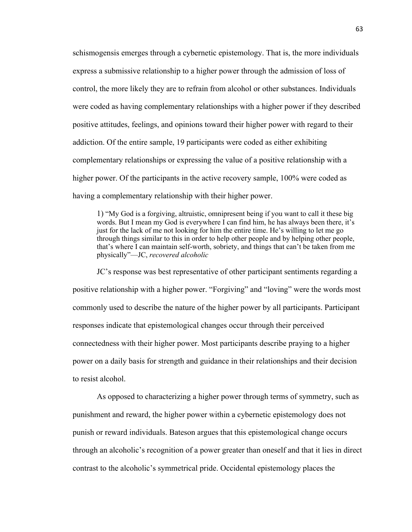schismogensis emerges through a cybernetic epistemology. That is, the more individuals express a submissive relationship to a higher power through the admission of loss of control, the more likely they are to refrain from alcohol or other substances. Individuals were coded as having complementary relationships with a higher power if they described positive attitudes, feelings, and opinions toward their higher power with regard to their addiction. Of the entire sample, 19 participants were coded as either exhibiting complementary relationships or expressing the value of a positive relationship with a higher power. Of the participants in the active recovery sample, 100% were coded as having a complementary relationship with their higher power.

1) "My God is a forgiving, altruistic, omnipresent being if you want to call it these big words. But I mean my God is everywhere I can find him, he has always been there, it's just for the lack of me not looking for him the entire time. He's willing to let me go through things similar to this in order to help other people and by helping other people, that's where I can maintain self-worth, sobriety, and things that can't be taken from me physically"—JC, *recovered alcoholic*

JC's response was best representative of other participant sentiments regarding a positive relationship with a higher power. "Forgiving" and "loving" were the words most commonly used to describe the nature of the higher power by all participants. Participant responses indicate that epistemological changes occur through their perceived connectedness with their higher power. Most participants describe praying to a higher power on a daily basis for strength and guidance in their relationships and their decision to resist alcohol.

As opposed to characterizing a higher power through terms of symmetry, such as punishment and reward, the higher power within a cybernetic epistemology does not punish or reward individuals. Bateson argues that this epistemological change occurs through an alcoholic's recognition of a power greater than oneself and that it lies in direct contrast to the alcoholic's symmetrical pride. Occidental epistemology places the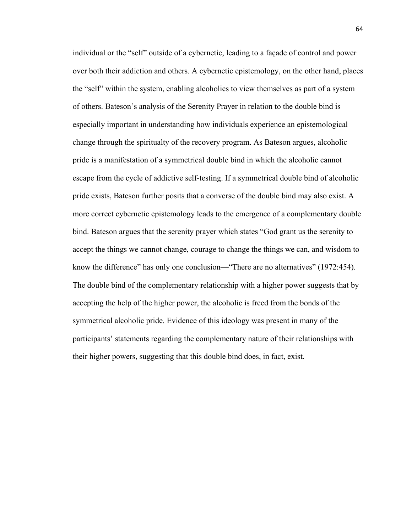individual or the "self" outside of a cybernetic, leading to a façade of control and power over both their addiction and others. A cybernetic epistemology, on the other hand, places the "self" within the system, enabling alcoholics to view themselves as part of a system of others. Bateson's analysis of the Serenity Prayer in relation to the double bind is especially important in understanding how individuals experience an epistemological change through the spiritualty of the recovery program. As Bateson argues, alcoholic pride is a manifestation of a symmetrical double bind in which the alcoholic cannot escape from the cycle of addictive self-testing. If a symmetrical double bind of alcoholic pride exists, Bateson further posits that a converse of the double bind may also exist. A more correct cybernetic epistemology leads to the emergence of a complementary double bind. Bateson argues that the serenity prayer which states "God grant us the serenity to accept the things we cannot change, courage to change the things we can, and wisdom to know the difference" has only one conclusion—"There are no alternatives" (1972:454). The double bind of the complementary relationship with a higher power suggests that by accepting the help of the higher power, the alcoholic is freed from the bonds of the symmetrical alcoholic pride. Evidence of this ideology was present in many of the participants' statements regarding the complementary nature of their relationships with their higher powers, suggesting that this double bind does, in fact, exist.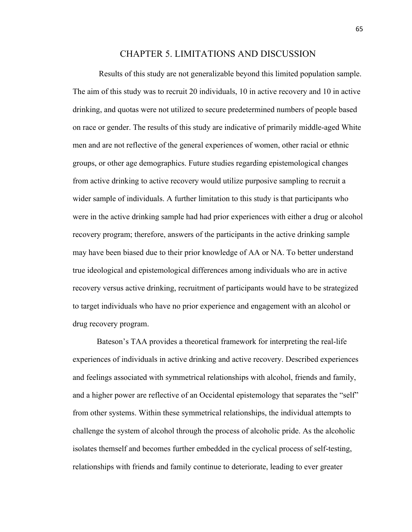### CHAPTER 5. LIMITATIONS AND DISCUSSION

Results of this study are not generalizable beyond this limited population sample. The aim of this study was to recruit 20 individuals, 10 in active recovery and 10 in active drinking, and quotas were not utilized to secure predetermined numbers of people based on race or gender. The results of this study are indicative of primarily middle-aged White men and are not reflective of the general experiences of women, other racial or ethnic groups, or other age demographics. Future studies regarding epistemological changes from active drinking to active recovery would utilize purposive sampling to recruit a wider sample of individuals. A further limitation to this study is that participants who were in the active drinking sample had had prior experiences with either a drug or alcohol recovery program; therefore, answers of the participants in the active drinking sample may have been biased due to their prior knowledge of AA or NA. To better understand true ideological and epistemological differences among individuals who are in active recovery versus active drinking, recruitment of participants would have to be strategized to target individuals who have no prior experience and engagement with an alcohol or drug recovery program.

Bateson's TAA provides a theoretical framework for interpreting the real-life experiences of individuals in active drinking and active recovery. Described experiences and feelings associated with symmetrical relationships with alcohol, friends and family, and a higher power are reflective of an Occidental epistemology that separates the "self" from other systems. Within these symmetrical relationships, the individual attempts to challenge the system of alcohol through the process of alcoholic pride. As the alcoholic isolates themself and becomes further embedded in the cyclical process of self-testing, relationships with friends and family continue to deteriorate, leading to ever greater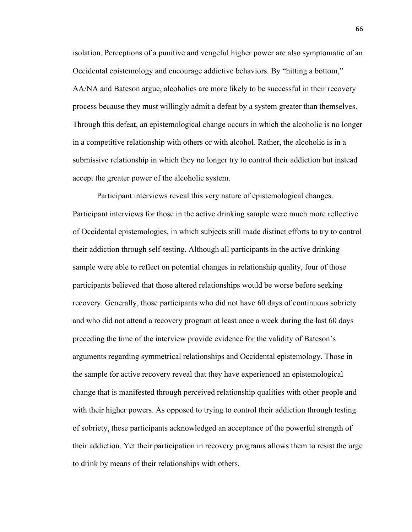isolation. Perceptions of a punitive and vengeful higher power are also symptomatic of an Occidental epistemology and encourage addictive behaviors. By "hitting a bottom," AA/NA and Bateson argue, alcoholics are more likely to be successful in their recovery process because they must willingly admit a defeat by a system greater than themselves. Through this defeat, an epistemological change occurs in which the alcoholic is no longer in a competitive relationship with others or with alcohol. Rather, the alcoholic is in a submissive relationship in which they no longer try to control their addiction but instead accept the greater power of the alcoholic system.

Participant interviews reveal this very nature of epistemological changes. Participant interviews for those in the active drinking sample were much more reflective of Occidental epistemologies, in which subjects still made distinct efforts to try to control their addiction through self-testing. Although all participants in the active drinking sample were able to reflect on potential changes in relationship quality, four of those participants believed that those altered relationships would be worse before seeking recovery. Generally, those participants who did not have 60 days of continuous sobriety and who did not attend a recovery program at least once a week during the last 60 days preceding the time of the interview provide evidence for the validity of Bateson's arguments regarding symmetrical relationships and Occidental epistemology. Those in the sample for active recovery reveal that they have experienced an epistemological change that is manifested through perceived relationship qualities with other people and with their higher powers. As opposed to trying to control their addiction through testing of sobriety, these participants acknowledged an acceptance of the powerful strength of their addiction. Yet their participation in recovery programs allows them to resist the urge to drink by means of their relationships with others.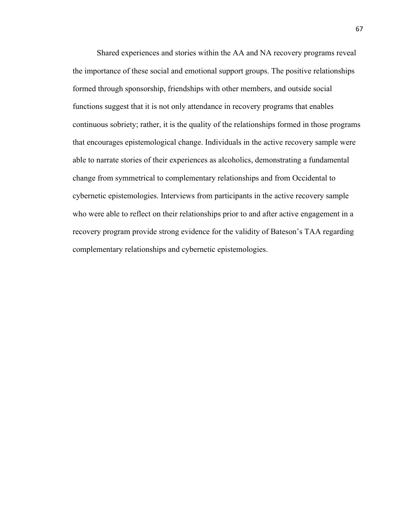Shared experiences and stories within the AA and NA recovery programs reveal the importance of these social and emotional support groups. The positive relationships formed through sponsorship, friendships with other members, and outside social functions suggest that it is not only attendance in recovery programs that enables continuous sobriety; rather, it is the quality of the relationships formed in those programs that encourages epistemological change. Individuals in the active recovery sample were able to narrate stories of their experiences as alcoholics, demonstrating a fundamental change from symmetrical to complementary relationships and from Occidental to cybernetic epistemologies. Interviews from participants in the active recovery sample who were able to reflect on their relationships prior to and after active engagement in a recovery program provide strong evidence for the validity of Bateson's TAA regarding complementary relationships and cybernetic epistemologies.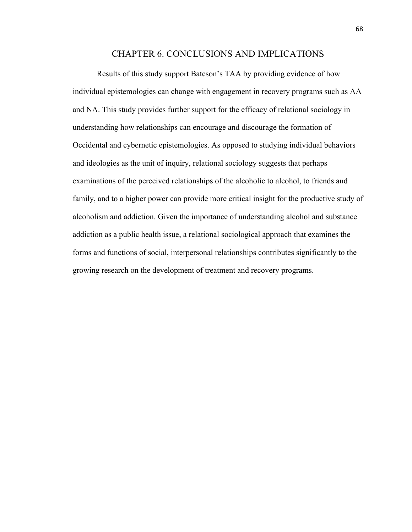## CHAPTER 6. CONCLUSIONS AND IMPLICATIONS

Results of this study support Bateson's TAA by providing evidence of how individual epistemologies can change with engagement in recovery programs such as AA and NA. This study provides further support for the efficacy of relational sociology in understanding how relationships can encourage and discourage the formation of Occidental and cybernetic epistemologies. As opposed to studying individual behaviors and ideologies as the unit of inquiry, relational sociology suggests that perhaps examinations of the perceived relationships of the alcoholic to alcohol, to friends and family, and to a higher power can provide more critical insight for the productive study of alcoholism and addiction. Given the importance of understanding alcohol and substance addiction as a public health issue, a relational sociological approach that examines the forms and functions of social, interpersonal relationships contributes significantly to the growing research on the development of treatment and recovery programs.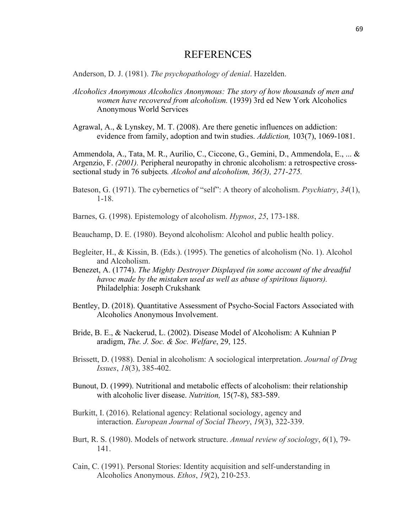# REFERENCES

Anderson, D. J. (1981). *The psychopathology of denial*. Hazelden.

- *Alcoholics Anonymous Alcoholics Anonymous: The story of how thousands of men and women have recovered from alcoholism.* (1939) 3rd ed New York Alcoholics Anonymous World Services
- Agrawal, A., & Lynskey, M. T. (2008). Are there genetic influences on addiction: evidence from family, adoption and twin studies. *Addiction,* 103(7), 1069-1081.

Ammendola, A., Tata, M. R., Aurilio, C., Ciccone, G., Gemini, D., Ammendola, E., ... & Argenzio, F. *(2001).* Peripheral neuropathy in chronic alcoholism: a retrospective crosssectional study in 76 subjects*. Alcohol and alcoholism, 36(3), 271-275.*

- Bateson, G. (1971). The cybernetics of "self": A theory of alcoholism. *Psychiatry*, *34*(1), 1-18.
- Barnes, G. (1998). Epistemology of alcoholism. *Hypnos*, *25*, 173-188.
- Beauchamp, D. E. (1980). Beyond alcoholism: Alcohol and public health policy.
- Begleiter, H., & Kissin, B. (Eds.). (1995). The genetics of alcoholism (No. 1). Alcohol and Alcoholism.
- Benezet, A. (1774). *The Mighty Destroyer Displayed (in some account of the dreadful havoc made by the mistaken used as well as abuse of spiritous liquors).* Philadelphia: Joseph Crukshank
- Bentley, D. (2018). Quantitative Assessment of Psycho-Social Factors Associated with Alcoholics Anonymous Involvement.
- Bride, B. E., & Nackerud, L. (2002). Disease Model of Alcoholism: A Kuhnian P aradigm, *The. J. Soc. & Soc. Welfare*, 29, 125.
- Brissett, D. (1988). Denial in alcoholism: A sociological interpretation. *Journal of Drug Issues*, *18*(3), 385-402.
- Bunout, D. (1999). Nutritional and metabolic effects of alcoholism: their relationship with alcoholic liver disease. *Nutrition,* 15(7-8), 583-589.
- Burkitt, I. (2016). Relational agency: Relational sociology, agency and interaction. *European Journal of Social Theory*, *19*(3), 322-339.
- Burt, R. S. (1980). Models of network structure. *Annual review of sociology*, *6*(1), 79- 141.
- Cain, C. (1991). Personal Stories: Identity acquisition and self‐understanding in Alcoholics Anonymous. *Ethos*, *19*(2), 210-253.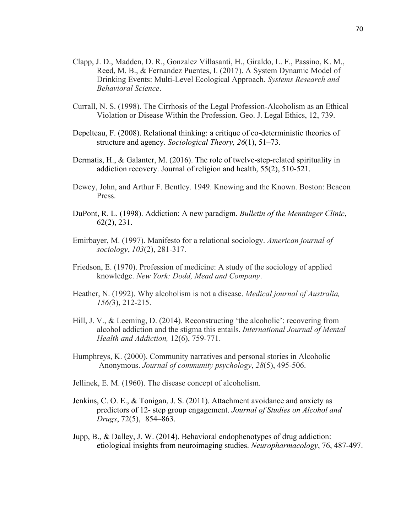- Clapp, J. D., Madden, D. R., Gonzalez Villasanti, H., Giraldo, L. F., Passino, K. M., Reed, M. B., & Fernandez Puentes, I. (2017). A System Dynamic Model of Drinking Events: Multi‐Level Ecological Approach. *Systems Research and Behavioral Science*.
- Currall, N. S. (1998). The Cirrhosis of the Legal Profession-Alcoholism as an Ethical Violation or Disease Within the Profession. Geo. J. Legal Ethics, 12, 739.
- Depelteau, F. (2008). Relational thinking: a critique of co-deterministic theories of structure and agency. *Sociological Theory, 26*(1), 51–73.
- Dermatis, H., & Galanter, M. (2016). The role of twelve-step-related spirituality in addiction recovery. Journal of religion and health, 55(2), 510-521.
- Dewey, John, and Arthur F. Bentley. 1949. Knowing and the Known. Boston: Beacon Press.
- DuPont, R. L. (1998). Addiction: A new paradigm. *Bulletin of the Menninger Clinic*, 62(2), 231.
- Emirbayer, M. (1997). Manifesto for a relational sociology. *American journal of sociology*, *103*(2), 281-317.
- Friedson, E. (1970). Profession of medicine: A study of the sociology of applied knowledge. *New York: Dodd, Mead and Company*.
- Heather, N. (1992). Why alcoholism is not a disease. *Medical journal of Australia, 156(*3), 212-215.
- Hill, J. V., & Leeming, D. (2014). Reconstructing 'the alcoholic': recovering from alcohol addiction and the stigma this entails. *International Journal of Mental Health and Addiction,* 12(6), 759-771.
- Humphreys, K. (2000). Community narratives and personal stories in Alcoholic Anonymous. *Journal of community psychology*, *28*(5), 495-506.
- Jellinek, E. M. (1960). The disease concept of alcoholism.
- Jenkins, C. O. E., & Tonigan, J. S. (2011). Attachment avoidance and anxiety as predictors of 12- step group engagement. *Journal of Studies on Alcohol and Drugs*, 72(5), 854–863.
- Jupp, B., & Dalley, J. W. (2014). Behavioral endophenotypes of drug addiction: etiological insights from neuroimaging studies. *Neuropharmacology*, 76, 487-497.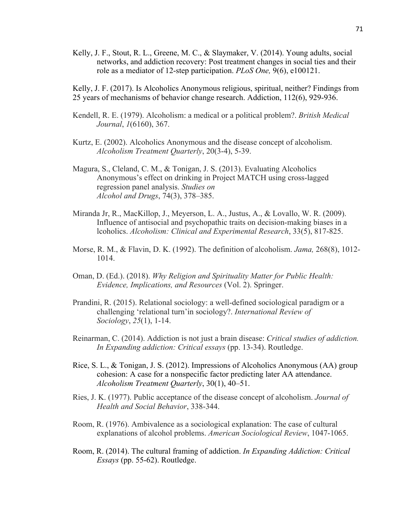Kelly, J. F., Stout, R. L., Greene, M. C., & Slaymaker, V. (2014). Young adults, social networks, and addiction recovery: Post treatment changes in social ties and their role as a mediator of 12-step participation. *PLoS One,* 9(6), e100121.

Kelly, J. F. (2017). Is Alcoholics Anonymous religious, spiritual, neither? Findings from 25 years of mechanisms of behavior change research. Addiction, 112(6), 929-936.

- Kendell, R. E. (1979). Alcoholism: a medical or a political problem?. *British Medical Journal*, *1*(6160), 367.
- Kurtz, E. (2002). Alcoholics Anonymous and the disease concept of alcoholism. *Alcoholism Treatment Quarterly*, 20(3-4), 5-39.
- Magura, S., Cleland, C. M., & Tonigan, J. S. (2013). Evaluating Alcoholics Anonymous's effect on drinking in Project MATCH using cross-lagged regression panel analysis. *Studies on Alcohol and Drugs*, 74(3), 378–385.
- Miranda Jr, R., MacKillop, J., Meyerson, L. A., Justus, A., & Lovallo, W. R. (2009). Influence of antisocial and psychopathic traits on decision‐making biases in a lcoholics. *Alcoholism: Clinical and Experimental Research*, 33(5), 817-825.
- Morse, R. M., & Flavin, D. K. (1992). The definition of alcoholism. *Jama,* 268(8), 1012- 1014.
- Oman, D. (Ed.). (2018). *Why Religion and Spirituality Matter for Public Health: Evidence, Implications, and Resources* (Vol. 2). Springer.
- Prandini, R. (2015). Relational sociology: a well-defined sociological paradigm or a challenging 'relational turn'in sociology?. *International Review of Sociology*, *25*(1), 1-14.
- Reinarman, C. (2014). Addiction is not just a brain disease: *Critical studies of addiction. In Expanding addiction: Critical essays* (pp. 13-34). Routledge.
- Rice, S. L., & Tonigan, J. S. (2012). Impressions of Alcoholics Anonymous (AA) group cohesion: A case for a nonspecific factor predicting later AA attendance. *Alcoholism Treatment Quarterly*, 30(1), 40–51.
- Ries, J. K. (1977). Public acceptance of the disease concept of alcoholism. *Journal of Health and Social Behavior*, 338-344.
- Room, R. (1976). Ambivalence as a sociological explanation: The case of cultural explanations of alcohol problems. *American Sociological Review*, 1047-1065.
- Room, R. (2014). The cultural framing of addiction. *In Expanding Addiction: Critical Essays* (pp. 55-62). Routledge.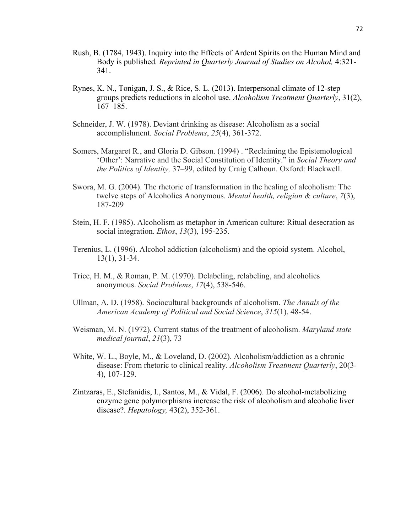- Rush, B. (1784, 1943). Inquiry into the Effects of Ardent Spirits on the Human Mind and Body is published*. Reprinted in Quarterly Journal of Studies on Alcohol,* 4:321- 341.
- Rynes, K. N., Tonigan, J. S., & Rice, S. L. (2013). Interpersonal climate of 12-step groups predicts reductions in alcohol use. *Alcoholism Treatment Quarterly*, 31(2), 167–185.
- Schneider, J. W. (1978). Deviant drinking as disease: Alcoholism as a social accomplishment. *Social Problems*, *25*(4), 361-372.
- Somers, Margaret R., and Gloria D. Gibson. (1994) . "Reclaiming the Epistemological 'Other': Narrative and the Social Constitution of Identity." in *Social Theory and the Politics of Identity,* 37–99, edited by Craig Calhoun. Oxford: Blackwell.
- Swora, M. G. (2004). The rhetoric of transformation in the healing of alcoholism: The twelve steps of Alcoholics Anonymous. *Mental health, religion & culture*, *7*(3), 187-209
- Stein, H. F. (1985). Alcoholism as metaphor in American culture: Ritual desecration as social integration. *Ethos*, *13*(3), 195-235.
- Terenius, L. (1996). Alcohol addiction (alcoholism) and the opioid system. Alcohol, 13(1), 31-34.
- Trice, H. M., & Roman, P. M. (1970). Delabeling, relabeling, and alcoholics anonymous. *Social Problems*, *17*(4), 538-546.
- Ullman, A. D. (1958). Sociocultural backgrounds of alcoholism. *The Annals of the American Academy of Political and Social Science*, *315*(1), 48-54.
- Weisman, M. N. (1972). Current status of the treatment of alcoholism. *Maryland state medical journal*, *21*(3), 73
- White, W. L., Boyle, M., & Loveland, D. (2002). Alcoholism/addiction as a chronic disease: From rhetoric to clinical reality. *Alcoholism Treatment Quarterly*, 20(3- 4), 107-129.
- Zintzaras, E., Stefanidis, I., Santos, M., & Vidal, F. (2006). Do alcohol‐metabolizing enzyme gene polymorphisms increase the risk of alcoholism and alcoholic liver disease?. *Hepatology,* 43(2), 352-361.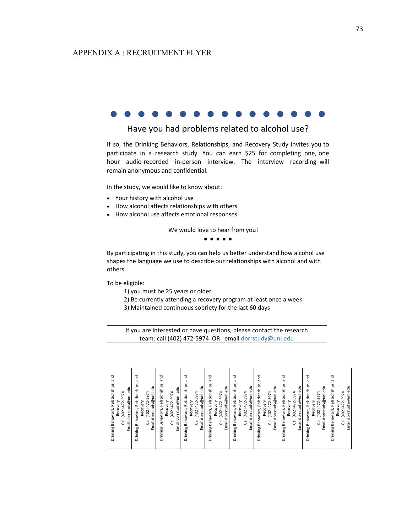## APPENDIX A : RECRUITMENT FLYER

# • • • • • • • • • • • • • • • •

# Have you had problems related to alcohol use?

If so, the Drinking Behaviors, Relationships, and Recovery Study invites you to participate in a research study. You can earn \$25 for completing one, one hour audio-recorded in-person interview. The interview recording will remain anonymous and confidential.

In the study, we would like to know about:

- Your history with alcohol use
- How alcohol affects relationships with others
- How alcohol use affects emotional responses

We would love to hear from you!

• • • • •

By participating in this study, you can help us better understand how alcohol use shapes the language we use to describe our relationships with alcohol and with others.

To be eligible:

- 1) you must be 25 years or older
- 2) Be currently attending a recovery program at least once a week
- 3) Maintained continuous sobriety for the last 60 days

If you are interested or have questions, please contact the research team: call (402) 472-5974 OR email dbrrstudy@unl.edu

| Drinking Behaviors, Relationships, and                                                                        |
|---------------------------------------------------------------------------------------------------------------|
| Email dbrrstudy@unl.edu<br>Call (402) 472-5974<br>Recovery                                                    |
| and<br>Relationships,<br>Email dbrrstudy@unl.edu<br>Call (402) 472-5974<br>Recovery<br>Behaviors,<br>Drinking |
| and<br>Behaviors, Relationships,<br>Email dbrrstudy@unl.edu<br>Call (402) 472-5974<br>Recovery<br>Drinking    |
| Behaviors, Relationships, and<br>Email dbrrstudy@unl.edu<br>Call (402) 472-5974<br>Recovery<br>Drinking       |
| Behaviors, Relationships, and<br>Email dbrrstudy@unl.edu<br>Call (402) 472-5974<br>Recovery<br>Drinking       |
| and<br>Behaviors, Relationships,<br>Email dbrrstudy@unl.edu<br>Call (402) 472-5974<br>Recovery<br>Drinking    |
| and<br>Behaviors, Relationships,<br>Email dbrrstudy@unl.edu<br>Call (402) 472-5974<br>Recovery<br>Drinking    |
| Behaviors, Relationships, and<br>Email dbrrstudy@unl.edu<br>Call (402) 472-5974<br>Recovery<br>Drinking       |
| gue<br>Behaviors, Relationships,<br>Email dbrrstudy@unl.edu<br>Call (402) 472-5974<br>Recovery<br>Drinking    |
| and<br>Behaviors, Relationships,<br>Email dbrrstudy@unl.edu<br>Call (402) 472-5974<br>Recovery<br>Drinking    |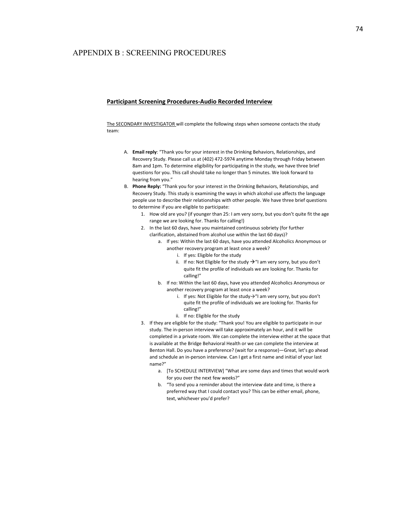## APPENDIX B : SCREENING PROCEDURES

#### **Participant Screening Procedures-Audio Recorded Interview**

The SECONDARY INVESTIGATOR will complete the following steps when someone contacts the study team:

- A. **Email reply**: "Thank you for your interest in the Drinking Behaviors, Relationships, and Recovery Study. Please call us at (402) 472-5974 anytime Monday through Friday between 8am and 1pm. To determine eligibility for participating in the study, we have three brief questions for you. This call should take no longer than 5 minutes. We look forward to hearing from you."
- B. **Phone Reply:** "Thank you for your interest in the Drinking Behaviors, Relationships, and Recovery Study. This study is examining the ways in which alcohol use affects the language people use to describe their relationships with other people. We have three brief questions to determine if you are eligible to participate:
	- 1. How old are you? (if younger than 25: I am very sorry, but you don't quite fit the age range we are looking for. Thanks for calling!)
	- 2. In the last 60 days, have you maintained continuous sobriety (for further clarification, abstained from alcohol use within the last 60 days)?
		- a. If yes: Within the last 60 days, have you attended Alcoholics Anonymous or another recovery program at least once a week?
			- i. If yes: Eligible for the study
			- ii. If no: Not Eligible for the study  $\rightarrow$  "I am very sorry, but you don't quite fit the profile of individuals we are looking for. Thanks for calling!"
		- b. If no: Within the last 60 days, have you attended Alcoholics Anonymous or another recovery program at least once a week?
			- i. If yes: Not Eligible for the study $\rightarrow$ "I am very sorry, but you don't quite fit the profile of individuals we are looking for. Thanks for calling!"
			- ii. If no: Eligible for the study
	- 3. If they are eligible for the study: "Thank you! You are eligible to participate in our study. The in-person interview will take approximately an hour, and it will be completed in a private room. We can complete the interview either at the space that is available at the Bridge Behavioral Health or we can complete the interview at Benton Hall. Do you have a preference? (wait for a response)—Great, let's go ahead and schedule an in-person interview. Can I get a first name and initial of your last name?"
		- a. [To SCHEDULE INTERVIEW] "What are some days and times that would work for you over the next few weeks?"
		- b. "To send you a reminder about the interview date and time, is there a preferred way that I could contact you? This can be either email, phone, text, whichever you'd prefer?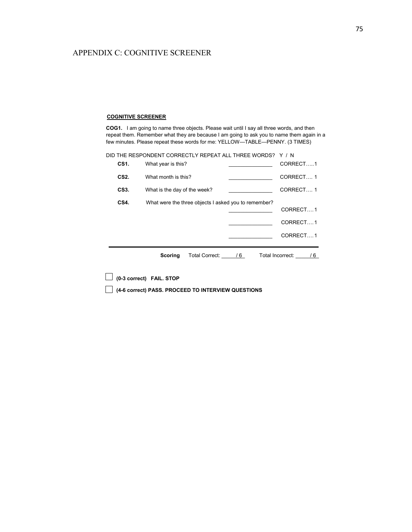## APPENDIX C: COGNITIVE SCREENER

#### **COGNITIVE SCREENER**

**COG1.** I am going to name three objects. Please wait until I say all three words, and then repeat them. Remember what they are because I am going to ask you to name them again in a few minutes. Please repeat these words for me: YELLOW—TABLE—PENNY. (3 TIMES)

|                                      | DID THE RESPONDENT CORRECTLY REPEAT ALL THREE WORDS? Y / N |                                                      |    |                         |
|--------------------------------------|------------------------------------------------------------|------------------------------------------------------|----|-------------------------|
| CS1.                                 | What year is this?                                         |                                                      |    | CORRECT1                |
| CS2.                                 | What month is this?                                        |                                                      |    | CORRECT1                |
| CS3.<br>What is the day of the week? |                                                            |                                                      |    | CORRECT1                |
| CS4.                                 |                                                            | What were the three objects I asked you to remember? |    |                         |
|                                      |                                                            |                                                      |    | CORRECT1                |
|                                      |                                                            |                                                      |    | CORRECT1                |
|                                      |                                                            |                                                      |    | CORRECT1                |
|                                      |                                                            |                                                      |    |                         |
|                                      | Scoring                                                    | Total Correct:                                       | /6 | Total Incorrect:<br>/ 6 |
|                                      |                                                            |                                                      |    |                         |

**(0-3 correct) FAIL. STOP**

**(4-6 correct) PASS. PROCEED TO INTERVIEW QUESTIONS**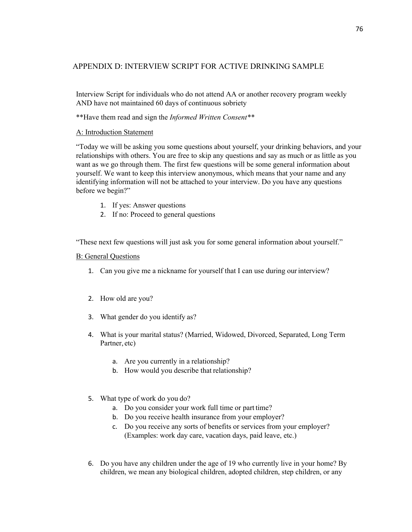## APPENDIX D: INTERVIEW SCRIPT FOR ACTIVE DRINKING SAMPLE

Interview Script for individuals who do not attend AA or another recovery program weekly AND have not maintained 60 days of continuous sobriety

\*\*Have them read and sign the *Informed Written Consent\*\**

## A: Introduction Statement

"Today we will be asking you some questions about yourself, your drinking behaviors, and your relationships with others. You are free to skip any questions and say as much or as little as you want as we go through them. The first few questions will be some general information about yourself. We want to keep this interview anonymous, which means that your name and any identifying information will not be attached to your interview. Do you have any questions before we begin?"

- 1. If yes: Answer questions
- 2. If no: Proceed to general questions

"These next few questions will just ask you for some general information about yourself."

## B: General Questions

- 1. Can you give me a nickname for yourself that I can use during ourinterview?
- 2. How old are you?
- 3. What gender do you identify as?
- 4. What is your marital status? (Married, Widowed, Divorced, Separated, Long Term Partner, etc)
	- a. Are you currently in a relationship?
	- b. How would you describe that relationship?
- 5. What type of work do you do?
	- a. Do you consider your work full time or part time?
	- b. Do you receive health insurance from your employer?
	- c. Do you receive any sorts of benefits or services from your employer? (Examples: work day care, vacation days, paid leave, etc.)
- 6. Do you have any children under the age of 19 who currently live in your home? By children, we mean any biological children, adopted children, step children, or any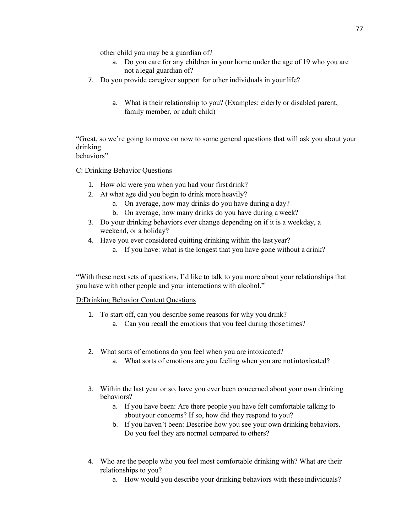other child you may be a guardian of?

- a. Do you care for any children in your home under the age of 19 who you are not a legal guardian of?
- 7. Do you provide caregiver support for other individuals in your life?
	- a. What is their relationship to you? (Examples: elderly or disabled parent, family member, or adult child)

"Great, so we're going to move on now to some general questions that will ask you about your drinking

behaviors"

C: Drinking Behavior Questions

- 1. How old were you when you had your first drink?
- 2. At what age did you begin to drink more heavily?
	- a. On average, how may drinks do you have during a day?
	- b. On average, how many drinks do you have during a week?
- 3. Do your drinking behaviors ever change depending on if it is a weekday, a weekend, or a holiday?
- 4. Have you ever considered quitting drinking within the last year?
	- a. If you have: what is the longest that you have gone without a drink?

"With these next sets of questions, I'd like to talk to you more about your relationships that you have with other people and your interactions with alcohol."

## D:Drinking Behavior Content Questions

- 1. To start off, can you describe some reasons for why you drink?
	- a. Can you recall the emotions that you feel during those times?
- 2. What sorts of emotions do you feel when you are intoxicated?
	- a. What sorts of emotions are you feeling when you are not intoxicated?
- 3. Within the last year or so, have you ever been concerned about your own drinking behaviors?
	- a. If you have been: Are there people you have felt comfortable talking to aboutyour concerns? If so, how did they respond to you?
	- b. If you haven't been: Describe how you see your own drinking behaviors. Do you feel they are normal compared to others?
- 4. Who are the people who you feel most comfortable drinking with? What are their relationships to you?
	- a. How would you describe your drinking behaviors with these individuals?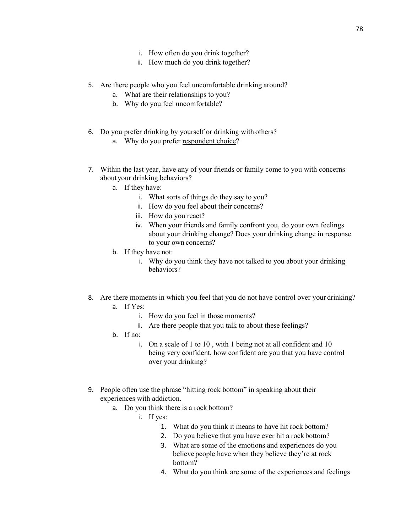- i. How often do you drink together?
- ii. How much do you drink together?

#### 5. Are there people who you feel uncomfortable drinking around?

- a. What are their relationships to you?
- b. Why do you feel uncomfortable?
- 6. Do you prefer drinking by yourself or drinking with others?
	- a. Why do you prefer respondent choice?
- 7. Within the last year, have any of your friends or family come to you with concerns aboutyour drinking behaviors?
	- a. If they have:
		- i. What sorts of things do they say to you?
		- ii. How do you feel about their concerns?
		- iii. How do you react?
		- iv. When your friends and family confront you, do your own feelings about your drinking change? Does your drinking change in response to your own concerns?
	- b. If they have not:
		- i. Why do you think they have not talked to you about your drinking behaviors?
- 8. Are there moments in which you feel that you do not have control over your drinking?
	- a. If Yes:
		- i. How do you feel in those moments?
		- ii. Are there people that you talk to about these feelings?
	- b. If no:
		- i. On a scale of 1 to 10 , with 1 being not at all confident and 10 being very confident, how confident are you that you have control over your drinking?
- 9. People often use the phrase "hitting rock bottom" in speaking about their experiences with addiction.
	- a. Do you think there is a rock bottom?
		- i. If yes:
			- 1. What do you think it means to have hit rock bottom?
			- 2. Do you believe that you have ever hit a rock bottom?
			- 3. What are some of the emotions and experiences do you believe people have when they believe they're at rock bottom?
			- 4. What do you think are some of the experiences and feelings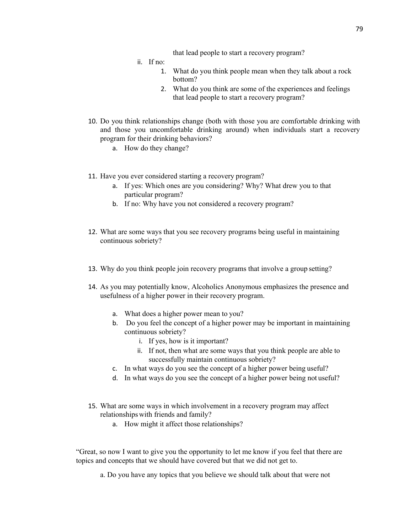that lead people to start a recovery program?

ii. If no:

- 1. What do you think people mean when they talk about a rock bottom?
- 2. What do you think are some of the experiences and feelings that lead people to start a recovery program?
- 10. Do you think relationships change (both with those you are comfortable drinking with and those you uncomfortable drinking around) when individuals start a recovery program for their drinking behaviors?
	- a. How do they change?
- 11. Have you ever considered starting a recovery program?
	- a. If yes: Which ones are you considering? Why? What drew you to that particular program?
	- b. If no: Why have you not considered a recovery program?
- 12. What are some ways that you see recovery programs being useful in maintaining continuous sobriety?
- 13. Why do you think people join recovery programs that involve a group setting?
- 14. As you may potentially know, Alcoholics Anonymous emphasizes the presence and usefulness of a higher power in their recovery program.
	- a. What does a higher power mean to you?
	- b. Do you feel the concept of a higher power may be important in maintaining continuous sobriety?
		- i. If yes, how is it important?
		- ii. If not, then what are some ways that you think people are able to successfully maintain continuous sobriety?
	- c. In what ways do you see the concept of a higher power being useful?
	- d. In what ways do you see the concept of a higher power being not useful?
- 15. What are some ways in which involvement in a recovery program may affect relationshipswith friends and family?
	- a. How might it affect those relationships?

"Great, so now I want to give you the opportunity to let me know if you feel that there are topics and concepts that we should have covered but that we did not get to.

a. Do you have any topics that you believe we should talk about that were not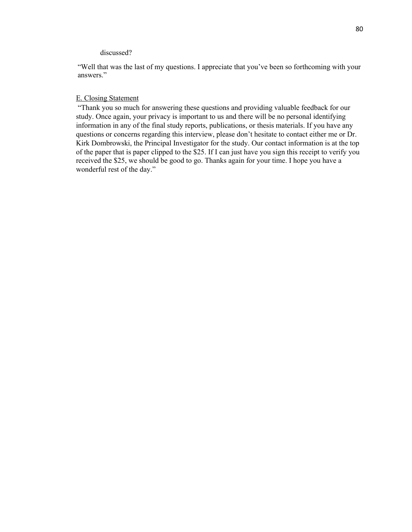#### discussed?

"Well that was the last of my questions. I appreciate that you've been so forthcoming with your answers."

#### E. Closing Statement

"Thank you so much for answering these questions and providing valuable feedback for our study. Once again, your privacy is important to us and there will be no personal identifying information in any of the final study reports, publications, or thesis materials. If you have any questions or concerns regarding this interview, please don't hesitate to contact either me or Dr. Kirk Dombrowski, the Principal Investigator for the study. Our contact information is at the top of the paper that is paper clipped to the \$25. If I can just have you sign this receipt to verify you received the \$25, we should be good to go. Thanks again for your time. I hope you have a wonderful rest of the day."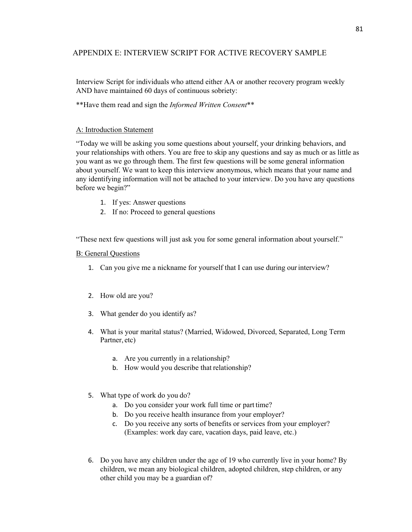## APPENDIX E: INTERVIEW SCRIPT FOR ACTIVE RECOVERY SAMPLE

Interview Script for individuals who attend either AA or another recovery program weekly AND have maintained 60 days of continuous sobriety:

\*\*Have them read and sign the *Informed Written Consent*\*\*

## A: Introduction Statement

"Today we will be asking you some questions about yourself, your drinking behaviors, and your relationships with others. You are free to skip any questions and say as much or as little as you want as we go through them. The first few questions will be some general information about yourself. We want to keep this interview anonymous, which means that your name and any identifying information will not be attached to your interview. Do you have any questions before we begin?"

- 1. If yes: Answer questions
- 2. If no: Proceed to general questions

"These next few questions will just ask you for some general information about yourself."

## B: General Questions

- 1. Can you give me a nickname for yourself that I can use during ourinterview?
- 2. How old are you?
- 3. What gender do you identify as?
- 4. What is your marital status? (Married, Widowed, Divorced, Separated, Long Term Partner, etc)
	- a. Are you currently in a relationship?
	- b. How would you describe that relationship?
- 5. What type of work do you do?
	- a. Do you consider your work full time or part time?
	- b. Do you receive health insurance from your employer?
	- c. Do you receive any sorts of benefits or services from your employer? (Examples: work day care, vacation days, paid leave, etc.)
- 6. Do you have any children under the age of 19 who currently live in your home? By children, we mean any biological children, adopted children, step children, or any other child you may be a guardian of?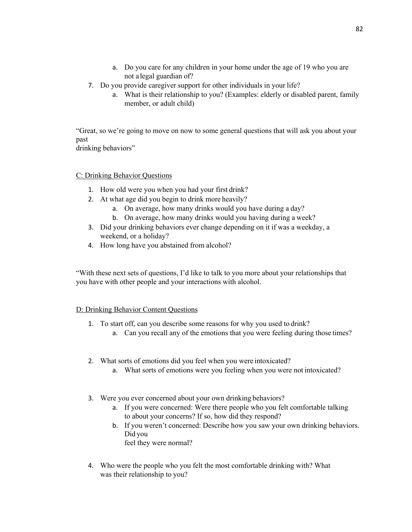- a. Do you care for any children in your home under the age of 19 who you are not a legal guardian of?
- 7. Do you provide caregiver support for other individuals in your life?
	- a. What is their relationship to you? (Examples: elderly or disabled parent, family member, or adult child)

"Great, so we're going to move on now to some general questions that will ask you about your past drinking behaviors"

C: Drinking Behavior Questions

- 1. How old were you when you had your first drink?
- 2. At what age did you begin to drink more heavily?
	- a. On average, how many drinks would you have during a day?
	- b. On average, how many drinks would you having during a week?
- 3. Did your drinking behaviors ever change depending on it if was a weekday, a weekend, or a holiday?
- 4. How long have you abstained from alcohol?

"With these next sets of questions, I'd like to talk to you more about your relationships that you have with other people and your interactions with alcohol.

## D: Drinking Behavior Content Questions

- 1. To start off, can you describe some reasons for why you used to drink?
	- a. Can you recall any of the emotions that you were feeling during those times?
- 2. What sorts of emotions did you feel when you were intoxicated?
	- a. What sorts of emotions were you feeling when you were not intoxicated?
- 3. Were you ever concerned about your own drinking behaviors?
	- a. If you were concerned: Were there people who you felt comfortable talking to about your concerns? If so, how did they respond?
	- b. If you weren't concerned: Describe how you saw your own drinking behaviors. Did you

feel they were normal?

4. Who were the people who you felt the most comfortable drinking with? What was their relationship to you?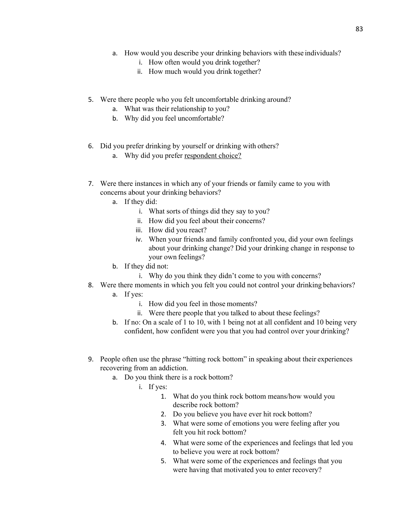- a. How would you describe your drinking behaviors with these individuals?
	- i. How often would you drink together?
	- ii. How much would you drink together?
- 5. Were there people who you felt uncomfortable drinking around?
	- a. What was their relationship to you?
	- b. Why did you feel uncomfortable?
- 6. Did you prefer drinking by yourself or drinking with others?
	- a. Why did you prefer respondent choice?
- 7. Were there instances in which any of your friends or family came to you with concerns about your drinking behaviors?
	- a. If they did:
		- i. What sorts of things did they say to you?
		- ii. How did you feel about their concerns?
		- iii. How did you react?
		- iv. When your friends and family confronted you, did your own feelings about your drinking change? Did your drinking change in response to your own feelings?
	- b. If they did not:
		- i. Why do you think they didn't come to you with concerns?
- 8. Were there moments in which you felt you could not control your drinking behaviors?
	- a. If yes:
		- i. How did you feel in those moments?
		- ii. Were there people that you talked to about these feelings?
	- b. If no: On a scale of 1 to 10, with 1 being not at all confident and 10 being very confident, how confident were you that you had control over your drinking?
- 9. People often use the phrase "hitting rock bottom" in speaking about their experiences recovering from an addiction.
	- a. Do you think there is a rock bottom?
		- i. If yes:
			- 1. What do you think rock bottom means/how would you describe rock bottom?
				- 2. Do you believe you have ever hit rock bottom?
			- 3. What were some of emotions you were feeling after you felt you hit rock bottom?
			- 4. What were some of the experiences and feelings that led you to believe you were at rock bottom?
			- 5. What were some of the experiences and feelings that you were having that motivated you to enter recovery?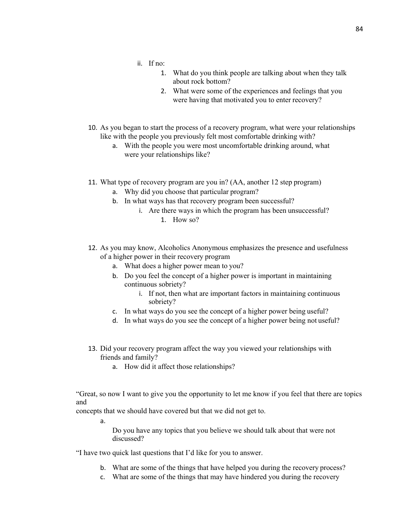- ii. If no:
	- 1. What do you think people are talking about when they talk about rock bottom?
	- 2. What were some of the experiences and feelings that you were having that motivated you to enter recovery?
- 10. As you began to start the process of a recovery program, what were your relationships like with the people you previously felt most comfortable drinking with?
	- a. With the people you were most uncomfortable drinking around, what were your relationships like?
- 11. What type of recovery program are you in? (AA, another 12 step program)
	- a. Why did you choose that particular program?
	- b. In what ways has that recovery program been successful?
		- i. Are there ways in which the program has been unsuccessful? 1. How so?
- 12. As you may know, Alcoholics Anonymous emphasizes the presence and usefulness of a higher power in their recovery program
	- a. What does a higher power mean to you?
	- b. Do you feel the concept of a higher power is important in maintaining continuous sobriety?
		- i. If not, then what are important factors in maintaining continuous sobriety?
	- c. In what ways do you see the concept of a higher power being useful?
	- d. In what ways do you see the concept of a higher power being not useful?
- 13. Did your recovery program affect the way you viewed your relationships with friends and family?
	- a. How did it affect those relationships?

"Great, so now I want to give you the opportunity to let me know if you feel that there are topics and

concepts that we should have covered but that we did not get to.

a.

Do you have any topics that you believe we should talk about that were not discussed?

"I have two quick last questions that I'd like for you to answer.

- b. What are some of the things that have helped you during the recovery process?
- c. What are some of the things that may have hindered you during the recovery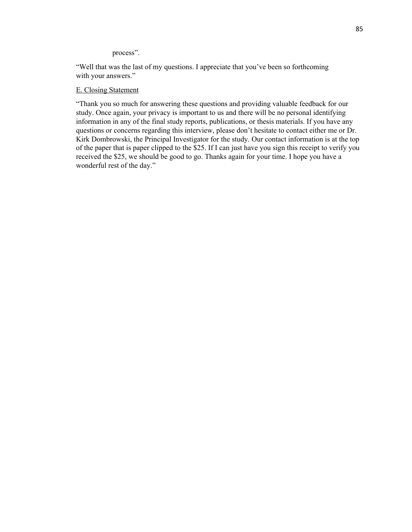process".

"Well that was the last of my questions. I appreciate that you've been so forthcoming with your answers."

## E. Closing Statement

"Thank you so much for answering these questions and providing valuable feedback for our study. Once again, your privacy is important to us and there will be no personal identifying information in any of the final study reports, publications, or thesis materials. If you have any questions or concerns regarding this interview, please don't hesitate to contact either me or Dr. Kirk Dombrowski, the Principal Investigator for the study. Our contact information is at the top of the paper that is paper clipped to the \$25. If I can just have you sign this receipt to verify you received the \$25, we should be good to go. Thanks again for your time. I hope you have a wonderful rest of the day."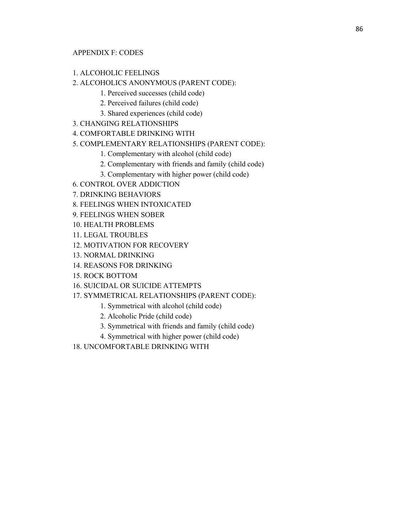## 1. ALCOHOLIC FEELINGS

## 2. ALCOHOLICS ANONYMOUS (PARENT CODE):

- 1. Perceived successes (child code)
- 2. Perceived failures (child code)
- 3. Shared experiences (child code)
- 3. CHANGING RELATIONSHIPS

## 4. COMFORTABLE DRINKING WITH

## 5. COMPLEMENTARY RELATIONSHIPS (PARENT CODE):

- 1. Complementary with alcohol (child code)
- 2. Complementary with friends and family (child code)
- 3. Complementary with higher power (child code)
- 6. CONTROL OVER ADDICTION
- 7. DRINKING BEHAVIORS
- 8. FEELINGS WHEN INTOXICATED
- 9. FEELINGS WHEN SOBER
- 10. HEALTH PROBLEMS
- 11. LEGAL TROUBLES
- 12. MOTIVATION FOR RECOVERY
- 13. NORMAL DRINKING
- 14. REASONS FOR DRINKING
- 15. ROCK BOTTOM
- 16. SUICIDAL OR SUICIDE ATTEMPTS
- 17. SYMMETRICAL RELATIONSHIPS (PARENT CODE):
	- 1. Symmetrical with alcohol (child code)
	- 2. Alcoholic Pride (child code)
	- 3. Symmetrical with friends and family (child code)
	- 4. Symmetrical with higher power (child code)
- 18. UNCOMFORTABLE DRINKING WITH